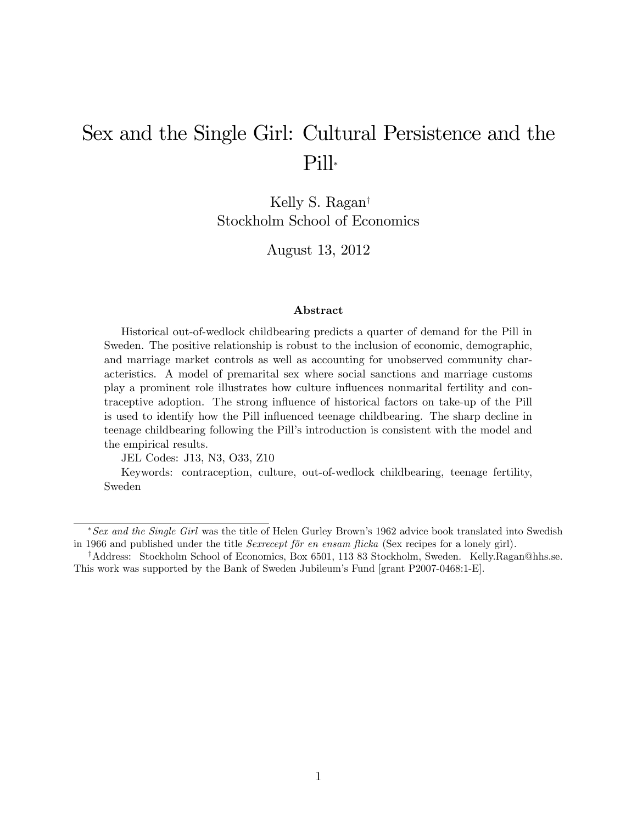# Sex and the Single Girl: Cultural Persistence and the Pill

Kelly S. Ragan<sup>†</sup> Stockholm School of Economics

August 13, 2012

#### Abstract

Historical out-of-wedlock childbearing predicts a quarter of demand for the Pill in Sweden. The positive relationship is robust to the inclusion of economic, demographic, and marriage market controls as well as accounting for unobserved community characteristics. A model of premarital sex where social sanctions and marriage customs play a prominent role illustrates how culture ináuences nonmarital fertility and contraceptive adoption. The strong ináuence of historical factors on take-up of the Pill is used to identify how the Pill influenced teenage childbearing. The sharp decline in teenage childbearing following the Pillís introduction is consistent with the model and the empirical results.

JEL Codes: J13, N3, O33, Z10

Keywords: contraception, culture, out-of-wedlock childbearing, teenage fertility, Sweden

 $*$  Sex and the Single Girl was the title of Helen Gurley Brown's 1962 advice book translated into Swedish in 1966 and published under the title *Sexrecept för en ensam flicka* (Sex recipes for a lonely girl).

<sup>&</sup>lt;sup>†</sup>Address: Stockholm School of Economics, Box 6501, 113 83 Stockholm, Sweden. Kelly.Ragan@hhs.se. This work was supported by the Bank of Sweden Jubileum's Fund [grant P2007-0468:1-E].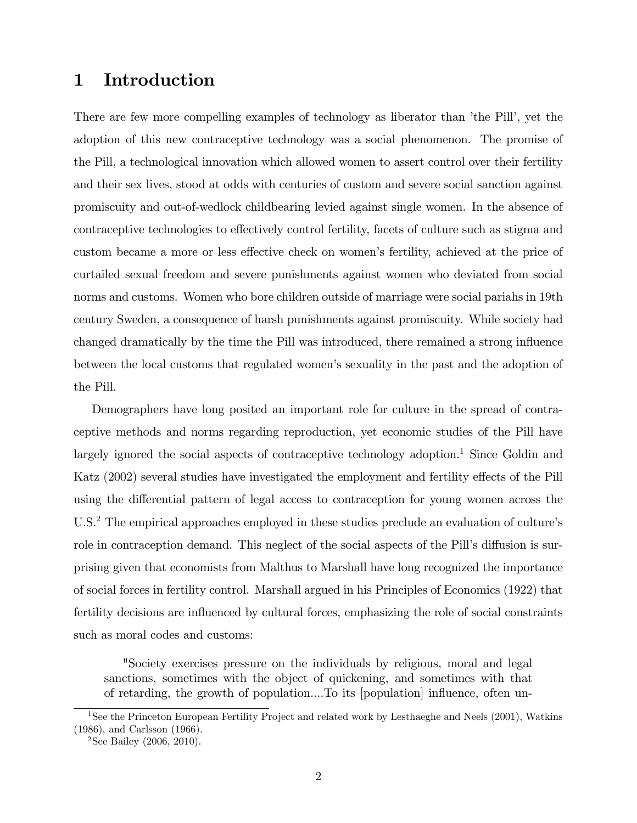# 1 Introduction

There are few more compelling examples of technology as liberator than 'the Pill', yet the adoption of this new contraceptive technology was a social phenomenon. The promise of the Pill, a technological innovation which allowed women to assert control over their fertility and their sex lives, stood at odds with centuries of custom and severe social sanction against promiscuity and out-of-wedlock childbearing levied against single women. In the absence of contraceptive technologies to effectively control fertility, facets of culture such as stigma and custom became a more or less effective check on women's fertility, achieved at the price of curtailed sexual freedom and severe punishments against women who deviated from social norms and customs. Women who bore children outside of marriage were social pariahs in 19th century Sweden, a consequence of harsh punishments against promiscuity. While society had changed dramatically by the time the Pill was introduced, there remained a strong ináuence between the local customs that regulated womenís sexuality in the past and the adoption of the Pill.

Demographers have long posited an important role for culture in the spread of contraceptive methods and norms regarding reproduction, yet economic studies of the Pill have largely ignored the social aspects of contraceptive technology adoption.<sup>1</sup> Since Goldin and Katz (2002) several studies have investigated the employment and fertility effects of the Pill using the differential pattern of legal access to contraception for young women across the U.S.<sup>2</sup> The empirical approaches employed in these studies preclude an evaluation of culture's role in contraception demand. This neglect of the social aspects of the Pill's diffusion is surprising given that economists from Malthus to Marshall have long recognized the importance of social forces in fertility control. Marshall argued in his Principles of Economics (1922) that fertility decisions are influenced by cultural forces, emphasizing the role of social constraints such as moral codes and customs:

"Society exercises pressure on the individuals by religious, moral and legal sanctions, sometimes with the object of quickening, and sometimes with that of retarding, the growth of population....To its [population] ináuence, often un-

<sup>1</sup>See the Princeton European Fertility Project and related work by Lesthaeghe and Neels (2001), Watkins (1986), and Carlsson (1966).

<sup>&</sup>lt;sup>2</sup>See Bailey (2006, 2010).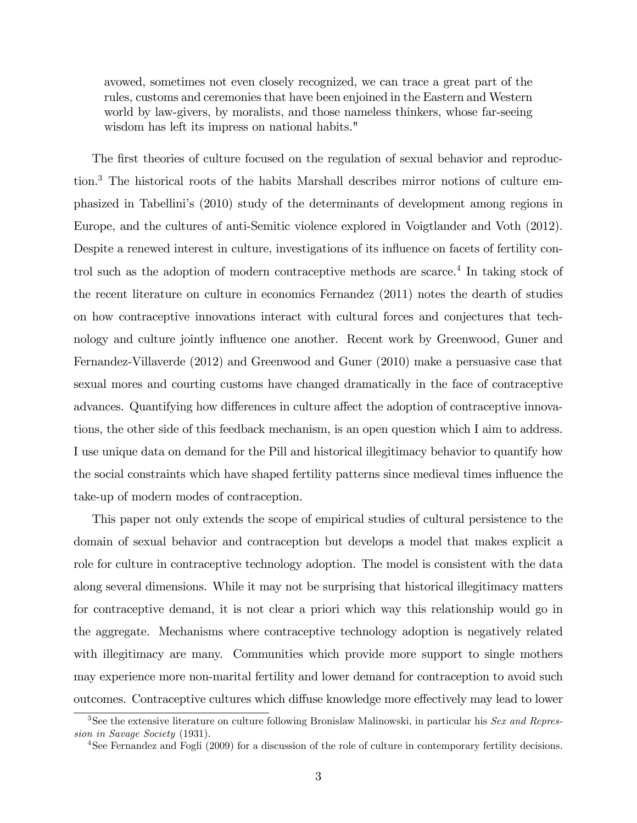avowed, sometimes not even closely recognized, we can trace a great part of the rules, customs and ceremonies that have been enjoined in the Eastern and Western world by law-givers, by moralists, and those nameless thinkers, whose far-seeing wisdom has left its impress on national habits."

The first theories of culture focused on the regulation of sexual behavior and reproduction.<sup>3</sup> The historical roots of the habits Marshall describes mirror notions of culture emphasized in Tabelliniís (2010) study of the determinants of development among regions in Europe, and the cultures of anti-Semitic violence explored in Voigtlander and Voth (2012). Despite a renewed interest in culture, investigations of its influence on facets of fertility control such as the adoption of modern contraceptive methods are scarce.<sup>4</sup> In taking stock of the recent literature on culture in economics Fernandez (2011) notes the dearth of studies on how contraceptive innovations interact with cultural forces and conjectures that technology and culture jointly influence one another. Recent work by Greenwood, Guner and Fernandez-Villaverde (2012) and Greenwood and Guner (2010) make a persuasive case that sexual mores and courting customs have changed dramatically in the face of contraceptive advances. Quantifying how differences in culture affect the adoption of contraceptive innovations, the other side of this feedback mechanism, is an open question which I aim to address. I use unique data on demand for the Pill and historical illegitimacy behavior to quantify how the social constraints which have shaped fertility patterns since medieval times ináuence the take-up of modern modes of contraception.

This paper not only extends the scope of empirical studies of cultural persistence to the domain of sexual behavior and contraception but develops a model that makes explicit a role for culture in contraceptive technology adoption. The model is consistent with the data along several dimensions. While it may not be surprising that historical illegitimacy matters for contraceptive demand, it is not clear a priori which way this relationship would go in the aggregate. Mechanisms where contraceptive technology adoption is negatively related with illegitimacy are many. Communities which provide more support to single mothers may experience more non-marital fertility and lower demand for contraception to avoid such outcomes. Contraceptive cultures which diffuse knowledge more effectively may lead to lower

<sup>&</sup>lt;sup>3</sup>See the extensive literature on culture following Bronislaw Malinowski, in particular his Sex and Repression in Savage Society (1931).

<sup>4</sup>See Fernandez and Fogli (2009) for a discussion of the role of culture in contemporary fertility decisions.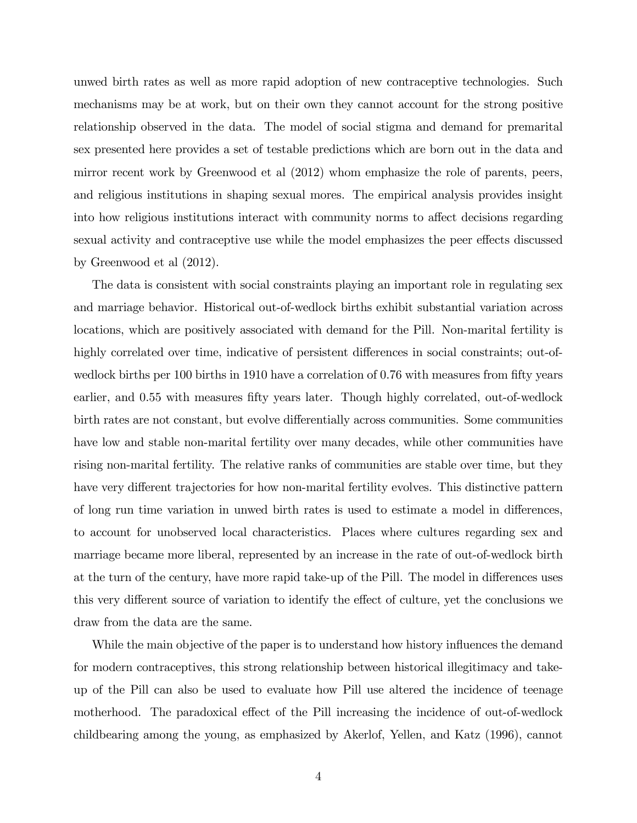unwed birth rates as well as more rapid adoption of new contraceptive technologies. Such mechanisms may be at work, but on their own they cannot account for the strong positive relationship observed in the data. The model of social stigma and demand for premarital sex presented here provides a set of testable predictions which are born out in the data and mirror recent work by Greenwood et al (2012) whom emphasize the role of parents, peers, and religious institutions in shaping sexual mores. The empirical analysis provides insight into how religious institutions interact with community norms to affect decisions regarding sexual activity and contraceptive use while the model emphasizes the peer effects discussed by Greenwood et al (2012).

The data is consistent with social constraints playing an important role in regulating sex and marriage behavior. Historical out-of-wedlock births exhibit substantial variation across locations, which are positively associated with demand for the Pill. Non-marital fertility is highly correlated over time, indicative of persistent differences in social constraints; out-ofwedlock births per 100 births in 1910 have a correlation of 0.76 with measures from fifty years earlier, and 0.55 with measures fifty years later. Though highly correlated, out-of-wedlock birth rates are not constant, but evolve differentially across communities. Some communities have low and stable non-marital fertility over many decades, while other communities have rising non-marital fertility. The relative ranks of communities are stable over time, but they have very different trajectories for how non-marital fertility evolves. This distinctive pattern of long run time variation in unwed birth rates is used to estimate a model in differences, to account for unobserved local characteristics. Places where cultures regarding sex and marriage became more liberal, represented by an increase in the rate of out-of-wedlock birth at the turn of the century, have more rapid take-up of the Pill. The model in differences uses this very different source of variation to identify the effect of culture, yet the conclusions we draw from the data are the same.

While the main objective of the paper is to understand how history influences the demand for modern contraceptives, this strong relationship between historical illegitimacy and takeup of the Pill can also be used to evaluate how Pill use altered the incidence of teenage motherhood. The paradoxical effect of the Pill increasing the incidence of out-of-wedlock childbearing among the young, as emphasized by Akerlof, Yellen, and Katz (1996), cannot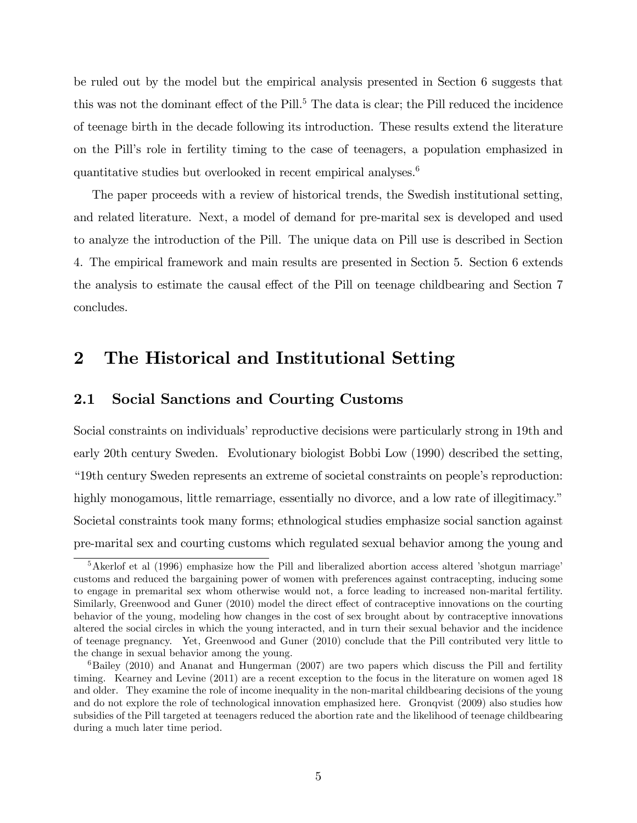be ruled out by the model but the empirical analysis presented in Section 6 suggests that this was not the dominant effect of the Pill.<sup>5</sup> The data is clear; the Pill reduced the incidence of teenage birth in the decade following its introduction. These results extend the literature on the Pill's role in fertility timing to the case of teenagers, a population emphasized in quantitative studies but overlooked in recent empirical analyses.<sup>6</sup>

The paper proceeds with a review of historical trends, the Swedish institutional setting, and related literature. Next, a model of demand for pre-marital sex is developed and used to analyze the introduction of the Pill. The unique data on Pill use is described in Section 4. The empirical framework and main results are presented in Section 5. Section 6 extends the analysis to estimate the causal effect of the Pill on teenage childbearing and Section 7 concludes.

# 2 The Historical and Institutional Setting

### 2.1 Social Sanctions and Courting Customs

Social constraints on individuals' reproductive decisions were particularly strong in 19th and early 20th century Sweden. Evolutionary biologist Bobbi Low (1990) described the setting, ì19th century Sweden represents an extreme of societal constraints on peopleís reproduction: highly monogamous, little remarriage, essentially no divorce, and a low rate of illegitimacy." Societal constraints took many forms; ethnological studies emphasize social sanction against pre-marital sex and courting customs which regulated sexual behavior among the young and

 $5$ Akerlof et al (1996) emphasize how the Pill and liberalized abortion access altered 'shotgun marriage' customs and reduced the bargaining power of women with preferences against contracepting, inducing some to engage in premarital sex whom otherwise would not, a force leading to increased non-marital fertility. Similarly, Greenwood and Guner (2010) model the direct effect of contraceptive innovations on the courting behavior of the young, modeling how changes in the cost of sex brought about by contraceptive innovations altered the social circles in which the young interacted, and in turn their sexual behavior and the incidence of teenage pregnancy. Yet, Greenwood and Guner (2010) conclude that the Pill contributed very little to the change in sexual behavior among the young.

 $6Bailey (2010)$  and Ananat and Hungerman  $(2007)$  are two papers which discuss the Pill and fertility timing. Kearney and Levine (2011) are a recent exception to the focus in the literature on women aged 18 and older. They examine the role of income inequality in the non-marital childbearing decisions of the young and do not explore the role of technological innovation emphasized here. Gronqvist (2009) also studies how subsidies of the Pill targeted at teenagers reduced the abortion rate and the likelihood of teenage childbearing during a much later time period.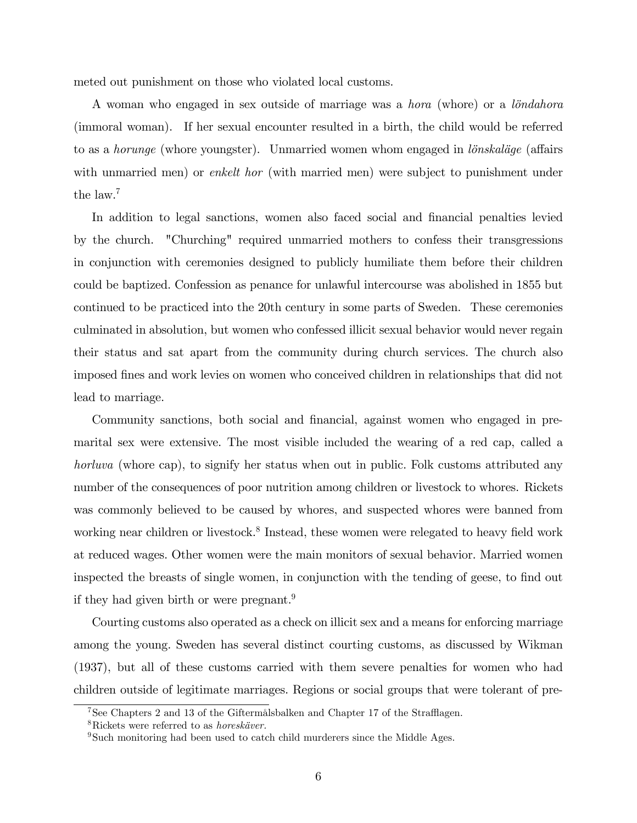meted out punishment on those who violated local customs.

A woman who engaged in sex outside of marriage was a *hora* (whore) or a *londahora* (immoral woman). If her sexual encounter resulted in a birth, the child would be referred to as a *horunge* (whore youngster). Unmarried women whom engaged in *lönskaläge* (affairs with unmarried men) or *enkelt hor* (with married men) were subject to punishment under the law.<sup>7</sup>

In addition to legal sanctions, women also faced social and financial penalties levied by the church. "Churching" required unmarried mothers to confess their transgressions in conjunction with ceremonies designed to publicly humiliate them before their children could be baptized. Confession as penance for unlawful intercourse was abolished in 1855 but continued to be practiced into the 20th century in some parts of Sweden. These ceremonies culminated in absolution, but women who confessed illicit sexual behavior would never regain their status and sat apart from the community during church services. The church also imposed Önes and work levies on women who conceived children in relationships that did not lead to marriage.

Community sanctions, both social and financial, against women who engaged in premarital sex were extensive. The most visible included the wearing of a red cap, called a horluva (whore cap), to signify her status when out in public. Folk customs attributed any number of the consequences of poor nutrition among children or livestock to whores. Rickets was commonly believed to be caused by whores, and suspected whores were banned from working near children or livestock.<sup>8</sup> Instead, these women were relegated to heavy field work at reduced wages. Other women were the main monitors of sexual behavior. Married women inspected the breasts of single women, in conjunction with the tending of geese, to find out if they had given birth or were pregnant.<sup>9</sup>

Courting customs also operated as a check on illicit sex and a means for enforcing marriage among the young. Sweden has several distinct courting customs, as discussed by Wikman (1937), but all of these customs carried with them severe penalties for women who had children outside of legitimate marriages. Regions or social groups that were tolerant of pre-

 $7$ See Chapters 2 and 13 of the Giftermålsbalken and Chapter 17 of the Strafflagen.

 $8Rickets$  were referred to as *horeskäver*.

 $9Such$  monitoring had been used to catch child murderers since the Middle Ages.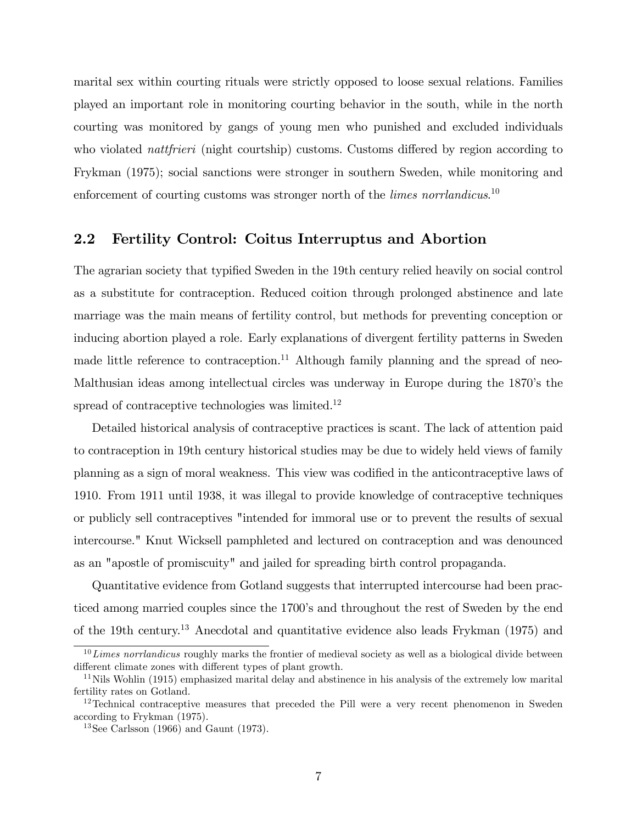marital sex within courting rituals were strictly opposed to loose sexual relations. Families played an important role in monitoring courting behavior in the south, while in the north courting was monitored by gangs of young men who punished and excluded individuals who violated *nattfrieri* (night courtship) customs. Customs differed by region according to Frykman (1975); social sanctions were stronger in southern Sweden, while monitoring and enforcement of courting customs was stronger north of the *limes norrlandicus*.<sup>10</sup>

## 2.2 Fertility Control: Coitus Interruptus and Abortion

The agrarian society that typified Sweden in the 19th century relied heavily on social control as a substitute for contraception. Reduced coition through prolonged abstinence and late marriage was the main means of fertility control, but methods for preventing conception or inducing abortion played a role. Early explanations of divergent fertility patterns in Sweden made little reference to contraception.<sup>11</sup> Although family planning and the spread of neo-Malthusian ideas among intellectual circles was underway in Europe during the 1870ís the spread of contraceptive technologies was limited.<sup>12</sup>

Detailed historical analysis of contraceptive practices is scant. The lack of attention paid to contraception in 19th century historical studies may be due to widely held views of family planning as a sign of moral weakness. This view was codified in the anticontraceptive laws of 1910. From 1911 until 1938, it was illegal to provide knowledge of contraceptive techniques or publicly sell contraceptives "intended for immoral use or to prevent the results of sexual intercourse." Knut Wicksell pamphleted and lectured on contraception and was denounced as an "apostle of promiscuity" and jailed for spreading birth control propaganda.

Quantitative evidence from Gotland suggests that interrupted intercourse had been practiced among married couples since the 1700's and throughout the rest of Sweden by the end of the 19th century.<sup>13</sup> Anecdotal and quantitative evidence also leads Frykman (1975) and

 $10$  Limes norrlandicus roughly marks the frontier of medieval society as well as a biological divide between different climate zones with different types of plant growth.

 $11$ Nils Wohlin (1915) emphasized marital delay and abstinence in his analysis of the extremely low marital fertility rates on Gotland.

<sup>&</sup>lt;sup>12</sup>Technical contraceptive measures that preceded the Pill were a very recent phenomenon in Sweden according to Frykman (1975).

<sup>13</sup>See Carlsson (1966) and Gaunt (1973).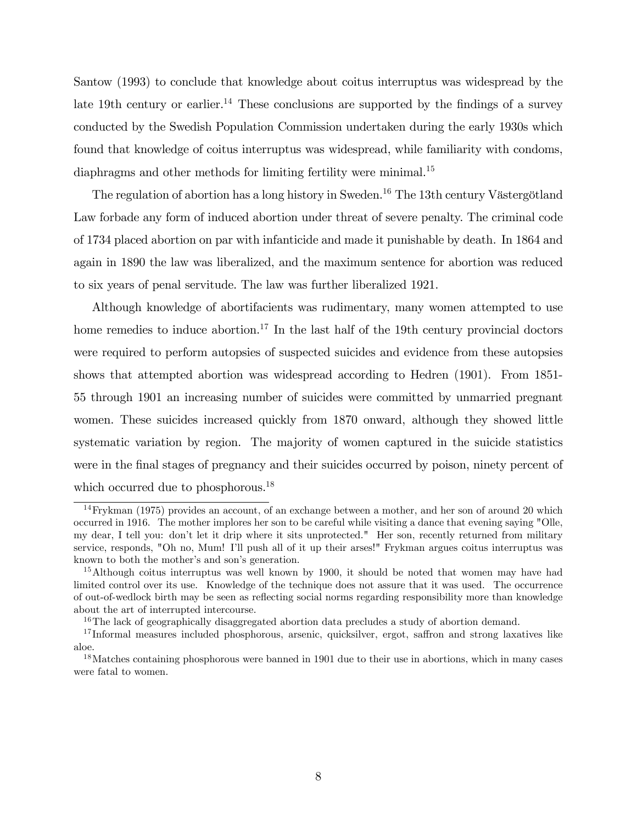Santow (1993) to conclude that knowledge about coitus interruptus was widespread by the late 19th century or earlier.<sup>14</sup> These conclusions are supported by the findings of a survey conducted by the Swedish Population Commission undertaken during the early 1930s which found that knowledge of coitus interruptus was widespread, while familiarity with condoms, diaphragms and other methods for limiting fertility were minimal.<sup>15</sup>

The regulation of abortion has a long history in Sweden.<sup>16</sup> The 13th century Västergötland Law forbade any form of induced abortion under threat of severe penalty. The criminal code of 1734 placed abortion on par with infanticide and made it punishable by death. In 1864 and again in 1890 the law was liberalized, and the maximum sentence for abortion was reduced to six years of penal servitude. The law was further liberalized 1921.

Although knowledge of abortifacients was rudimentary, many women attempted to use home remedies to induce abortion.<sup>17</sup> In the last half of the 19th century provincial doctors were required to perform autopsies of suspected suicides and evidence from these autopsies shows that attempted abortion was widespread according to Hedren (1901). From 1851- 55 through 1901 an increasing number of suicides were committed by unmarried pregnant women. These suicides increased quickly from 1870 onward, although they showed little systematic variation by region. The majority of women captured in the suicide statistics were in the final stages of pregnancy and their suicides occurred by poison, ninety percent of which occurred due to phosphorous.<sup>18</sup>

 $14$ Frykman (1975) provides an account, of an exchange between a mother, and her son of around 20 which occurred in 1916. The mother implores her son to be careful while visiting a dance that evening saying "Olle, my dear, I tell you: donít let it drip where it sits unprotected." Her son, recently returned from military service, responds, "Oh no, Mum! Iíll push all of it up their arses!" Frykman argues coitus interruptus was known to both the mother's and son's generation.

<sup>&</sup>lt;sup>15</sup>Although coitus interruptus was well known by 1900, it should be noted that women may have had limited control over its use. Knowledge of the technique does not assure that it was used. The occurrence of out-of-wedlock birth may be seen as reáecting social norms regarding responsibility more than knowledge about the art of interrupted intercourse.

<sup>&</sup>lt;sup>16</sup>The lack of geographically disaggregated abortion data precludes a study of abortion demand.

 $17$ Informal measures included phosphorous, arsenic, quicksilver, ergot, saffron and strong laxatives like aloe.

<sup>&</sup>lt;sup>18</sup>Matches containing phosphorous were banned in 1901 due to their use in abortions, which in many cases were fatal to women.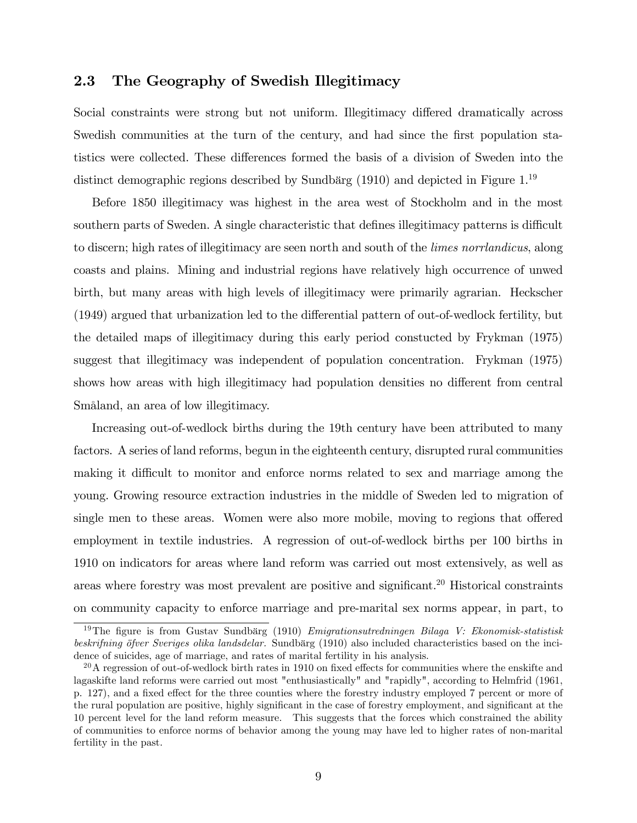### 2.3 The Geography of Swedish Illegitimacy

Social constraints were strong but not uniform. Illegitimacy differed dramatically across Swedish communities at the turn of the century, and had since the first population statistics were collected. These differences formed the basis of a division of Sweden into the distinct demographic regions described by Sundbärg  $(1910)$  and depicted in Figure 1.<sup>19</sup>

Before 1850 illegitimacy was highest in the area west of Stockholm and in the most southern parts of Sweden. A single characteristic that defines illegitimacy patterns is difficult to discern; high rates of illegitimacy are seen north and south of the limes norrlandicus, along coasts and plains. Mining and industrial regions have relatively high occurrence of unwed birth, but many areas with high levels of illegitimacy were primarily agrarian. Heckscher  $(1949)$  argued that urbanization led to the differential pattern of out-of-wedlock fertility, but the detailed maps of illegitimacy during this early period constucted by Frykman (1975) suggest that illegitimacy was independent of population concentration. Frykman (1975) shows how areas with high illegitimacy had population densities no different from central SmÂland, an area of low illegitimacy.

Increasing out-of-wedlock births during the 19th century have been attributed to many factors. A series of land reforms, begun in the eighteenth century, disrupted rural communities making it difficult to monitor and enforce norms related to sex and marriage among the young. Growing resource extraction industries in the middle of Sweden led to migration of single men to these areas. Women were also more mobile, moving to regions that offered employment in textile industries. A regression of out-of-wedlock births per 100 births in 1910 on indicators for areas where land reform was carried out most extensively, as well as areas where forestry was most prevalent are positive and significant.<sup>20</sup> Historical constraints on community capacity to enforce marriage and pre-marital sex norms appear, in part, to

<sup>&</sup>lt;sup>19</sup>The figure is from Gustav Sundbärg (1910) Emigrationsutredningen Bilaga V: Ekonomisk-statistisk beskrifning öfver Sveriges olika landsdelar. Sundbärg (1910) also included characteristics based on the incidence of suicides, age of marriage, and rates of marital fertility in his analysis.

 $^{20}$ A regression of out-of-wedlock birth rates in 1910 on fixed effects for communities where the enskifte and lagaskifte land reforms were carried out most "enthusiastically" and "rapidly", according to Helmfrid (1961, p. 127), and a fixed effect for the three counties where the forestry industry employed 7 percent or more of the rural population are positive, highly significant in the case of forestry employment, and significant at the 10 percent level for the land reform measure. This suggests that the forces which constrained the ability of communities to enforce norms of behavior among the young may have led to higher rates of non-marital fertility in the past.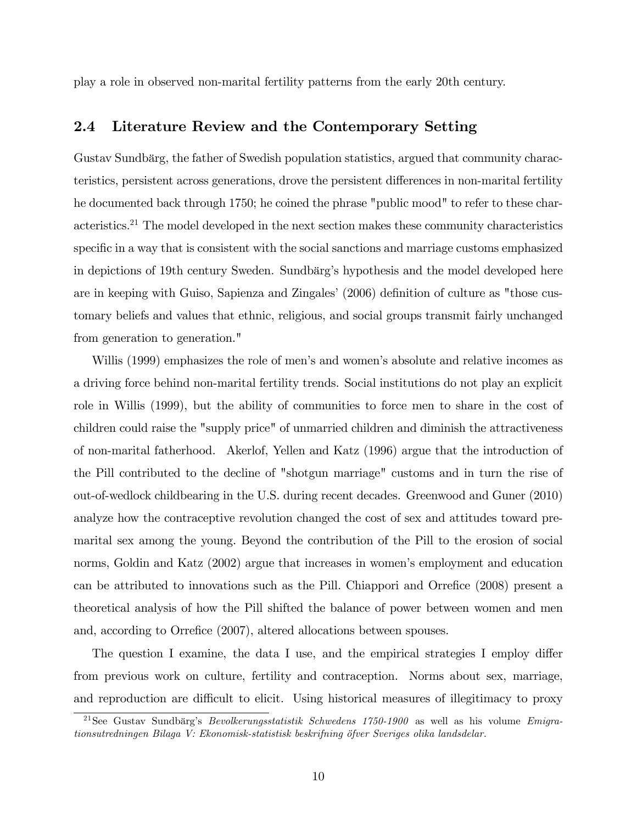play a role in observed non-marital fertility patterns from the early 20th century.

### 2.4 Literature Review and the Contemporary Setting

Gustav Sundbärg, the father of Swedish population statistics, argued that community characteristics, persistent across generations, drove the persistent differences in non-marital fertility he documented back through 1750; he coined the phrase "public mood" to refer to these characteristics.<sup>21</sup> The model developed in the next section makes these community characteristics specific in a way that is consistent with the social sanctions and marriage customs emphasized in depictions of 19th century Sweden. Sundbärg's hypothesis and the model developed here are in keeping with Guiso, Sapienza and Zingales' (2006) definition of culture as "those customary beliefs and values that ethnic, religious, and social groups transmit fairly unchanged from generation to generation."

Willis (1999) emphasizes the role of men's and women's absolute and relative incomes as a driving force behind non-marital fertility trends. Social institutions do not play an explicit role in Willis (1999), but the ability of communities to force men to share in the cost of children could raise the "supply price" of unmarried children and diminish the attractiveness of non-marital fatherhood. Akerlof, Yellen and Katz (1996) argue that the introduction of the Pill contributed to the decline of "shotgun marriage" customs and in turn the rise of out-of-wedlock childbearing in the U.S. during recent decades. Greenwood and Guner (2010) analyze how the contraceptive revolution changed the cost of sex and attitudes toward premarital sex among the young. Beyond the contribution of the Pill to the erosion of social norms, Goldin and Katz (2002) argue that increases in women's employment and education can be attributed to innovations such as the Pill. Chiappori and Orrefice (2008) present a theoretical analysis of how the Pill shifted the balance of power between women and men and, according to Orrefice (2007), altered allocations between spouses.

The question I examine, the data I use, and the empirical strategies I employ differ from previous work on culture, fertility and contraception. Norms about sex, marriage, and reproduction are difficult to elicit. Using historical measures of illegitimacy to proxy

<sup>&</sup>lt;sup>21</sup>See Gustav Sundbärg's *Bevolkerungsstatistik Schwedens 1750-1900* as well as his volume *Emigra*tionsutredningen Bilaga V: Ekonomisk-statistisk beskrifning ˆfver Sveriges olika landsdelar.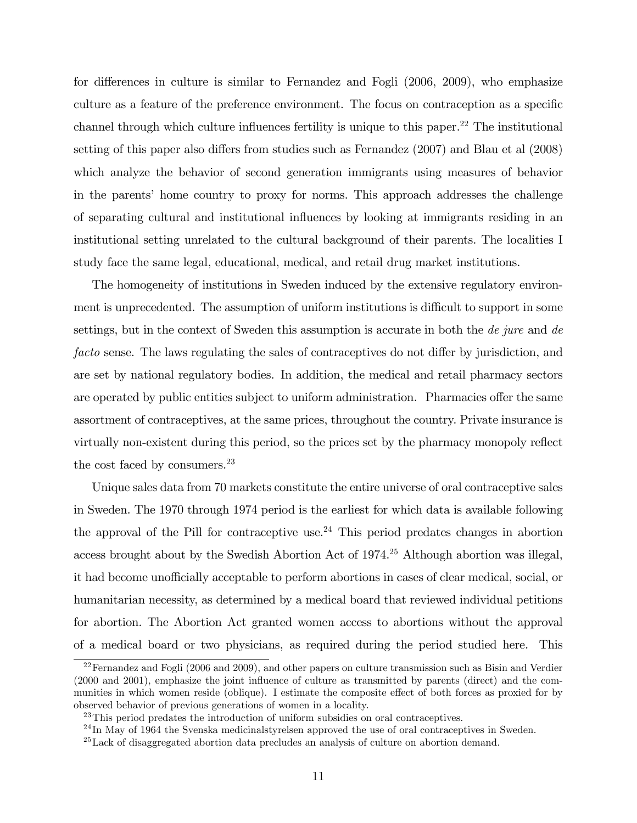for differences in culture is similar to Fernandez and Fogli  $(2006, 2009)$ , who emphasize culture as a feature of the preference environment. The focus on contraception as a specific channel through which culture influences fertility is unique to this paper.<sup>22</sup> The institutional setting of this paper also differs from studies such as Fernandez  $(2007)$  and Blau et al  $(2008)$ which analyze the behavior of second generation immigrants using measures of behavior in the parents' home country to proxy for norms. This approach addresses the challenge of separating cultural and institutional influences by looking at immigrants residing in an institutional setting unrelated to the cultural background of their parents. The localities I study face the same legal, educational, medical, and retail drug market institutions.

The homogeneity of institutions in Sweden induced by the extensive regulatory environment is unprecedented. The assumption of uniform institutions is difficult to support in some settings, but in the context of Sweden this assumption is accurate in both the de jure and de facto sense. The laws regulating the sales of contraceptives do not differ by jurisdiction, and are set by national regulatory bodies. In addition, the medical and retail pharmacy sectors are operated by public entities subject to uniform administration. Pharmacies offer the same assortment of contraceptives, at the same prices, throughout the country. Private insurance is virtually non-existent during this period, so the prices set by the pharmacy monopoly reflect the cost faced by consumers.<sup>23</sup>

Unique sales data from 70 markets constitute the entire universe of oral contraceptive sales in Sweden. The 1970 through 1974 period is the earliest for which data is available following the approval of the Pill for contraceptive use.<sup>24</sup> This period predates changes in abortion access brought about by the Swedish Abortion Act of 1974.<sup>25</sup> Although abortion was illegal, it had become unofficially acceptable to perform abortions in cases of clear medical, social, or humanitarian necessity, as determined by a medical board that reviewed individual petitions for abortion. The Abortion Act granted women access to abortions without the approval of a medical board or two physicians, as required during the period studied here. This

 $22$ Fernandez and Fogli (2006 and 2009), and other papers on culture transmission such as Bisin and Verdier (2000 and 2001), emphasize the joint ináuence of culture as transmitted by parents (direct) and the communities in which women reside (oblique). I estimate the composite effect of both forces as proxied for by observed behavior of previous generations of women in a locality.

<sup>23</sup>This period predates the introduction of uniform subsidies on oral contraceptives.

<sup>&</sup>lt;sup>24</sup> In May of 1964 the Svenska medicinalstyrelsen approved the use of oral contraceptives in Sweden.

<sup>25</sup>Lack of disaggregated abortion data precludes an analysis of culture on abortion demand.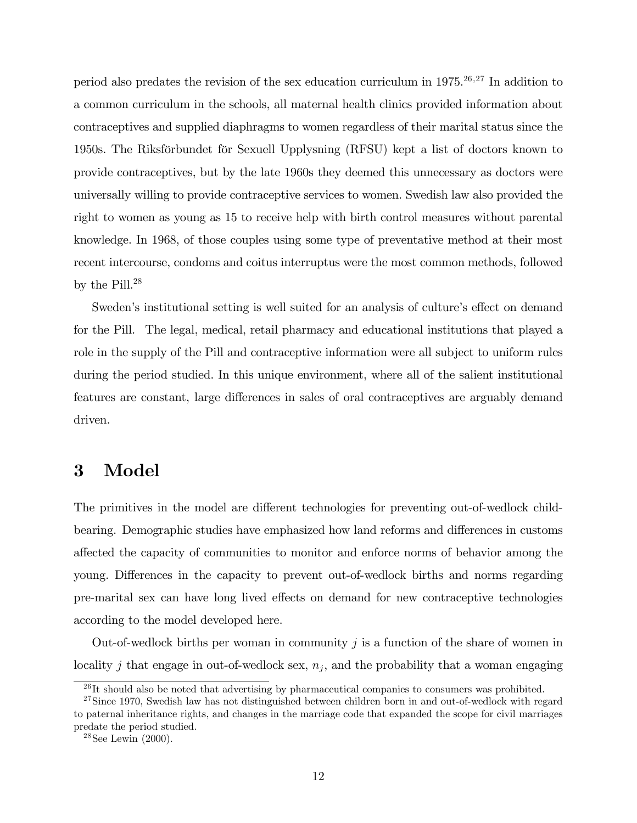period also predates the revision of the sex education curriculum in  $1975.^{26,27}$  In addition to a common curriculum in the schools, all maternal health clinics provided information about contraceptives and supplied diaphragms to women regardless of their marital status since the 1950s. The Riksförbundet för Sexuell Upplysning (RFSU) kept a list of doctors known to provide contraceptives, but by the late 1960s they deemed this unnecessary as doctors were universally willing to provide contraceptive services to women. Swedish law also provided the right to women as young as 15 to receive help with birth control measures without parental knowledge. In 1968, of those couples using some type of preventative method at their most recent intercourse, condoms and coitus interruptus were the most common methods, followed by the Pill.<sup>28</sup>

Sweden's institutional setting is well suited for an analysis of culture's effect on demand for the Pill. The legal, medical, retail pharmacy and educational institutions that played a role in the supply of the Pill and contraceptive information were all subject to uniform rules during the period studied. In this unique environment, where all of the salient institutional features are constant, large differences in sales of oral contraceptives are arguably demand driven.

# 3 Model

The primitives in the model are different technologies for preventing out-of-wedlock childbearing. Demographic studies have emphasized how land reforms and differences in customs a§ected the capacity of communities to monitor and enforce norms of behavior among the young. Differences in the capacity to prevent out-of-wedlock births and norms regarding pre-marital sex can have long lived effects on demand for new contraceptive technologies according to the model developed here.

Out-of-wedlock births per woman in community  $j$  is a function of the share of women in locality j that engage in out-of-wedlock sex,  $n_j$ , and the probability that a woman engaging

 $^{26}$ It should also be noted that advertising by pharmaceutical companies to consumers was prohibited.

 $27$ Since 1970, Swedish law has not distinguished between children born in and out-of-wedlock with regard to paternal inheritance rights, and changes in the marriage code that expanded the scope for civil marriages predate the period studied.

 $28$ See Lewin  $(2000)$ .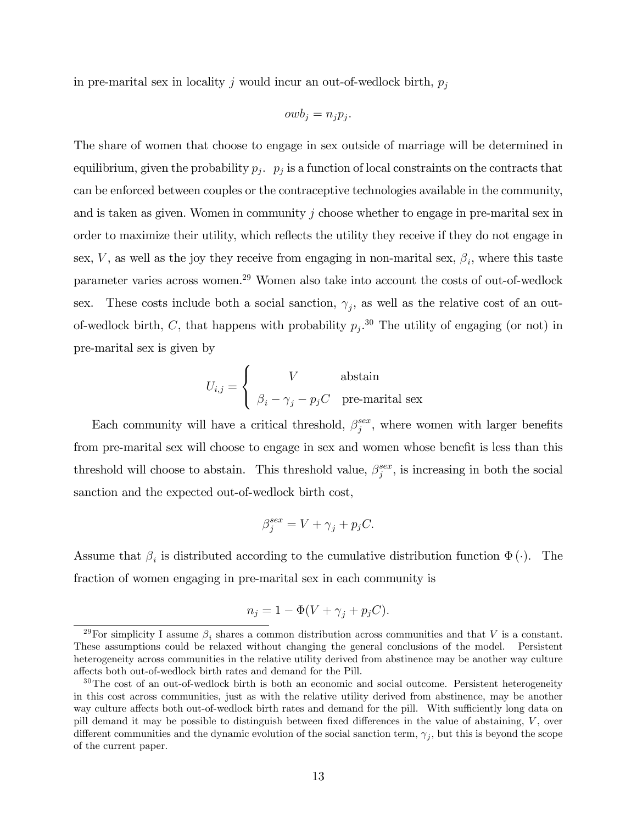in pre-marital sex in locality j would incur an out-of-wedlock birth,  $p_j$ 

$$
owb_j = n_j p_j.
$$

The share of women that choose to engage in sex outside of marriage will be determined in equilibrium, given the probability  $p_j$ .  $p_j$  is a function of local constraints on the contracts that can be enforced between couples or the contraceptive technologies available in the community, and is taken as given. Women in community  $j$  choose whether to engage in pre-marital sex in order to maximize their utility, which reflects the utility they receive if they do not engage in sex, V, as well as the joy they receive from engaging in non-marital sex,  $\beta_i$ , where this taste parameter varies across women.<sup>29</sup> Women also take into account the costs of out-of-wedlock sex. These costs include both a social sanction,  $\gamma_j$ , as well as the relative cost of an outof-wedlock birth, C, that happens with probability  $p_j$ .<sup>30</sup> The utility of engaging (or not) in pre-marital sex is given by

$$
U_{i,j} = \begin{cases} & V \qquad \text{abstain} \\ & \beta_i - \gamma_j - p_j C \quad \text{pre-marital sex} \end{cases}
$$

Each community will have a critical threshold,  $\beta_i^{sex}$  $j^{sex}$ , where women with larger benefits from pre-marital sex will choose to engage in sex and women whose benefit is less than this threshold will choose to abstain. This threshold value,  $\beta_i^{sex}$  $j^{sex}$ , is increasing in both the social sanction and the expected out-of-wedlock birth cost,

$$
\beta_j^{sex} = V + \gamma_j + p_j C.
$$

Assume that  $\beta_i$  is distributed according to the cumulative distribution function  $\Phi(\cdot)$ . The fraction of women engaging in pre-marital sex in each community is

$$
n_j = 1 - \Phi(V + \gamma_j + p_j C).
$$

<sup>&</sup>lt;sup>29</sup>For simplicity I assume  $\beta_i$  shares a common distribution across communities and that V is a constant. These assumptions could be relaxed without changing the general conclusions of the model. Persistent heterogeneity across communities in the relative utility derived from abstinence may be another way culture affects both out-of-wedlock birth rates and demand for the Pill.

<sup>&</sup>lt;sup>30</sup>The cost of an out-of-wedlock birth is both an economic and social outcome. Persistent heterogeneity in this cost across communities, just as with the relative utility derived from abstinence, may be another way culture affects both out-of-wedlock birth rates and demand for the pill. With sufficiently long data on pill demand it may be possible to distinguish between fixed differences in the value of abstaining,  $V$ , over different communities and the dynamic evolution of the social sanction term,  $\gamma_j$ , but this is beyond the scope of the current paper.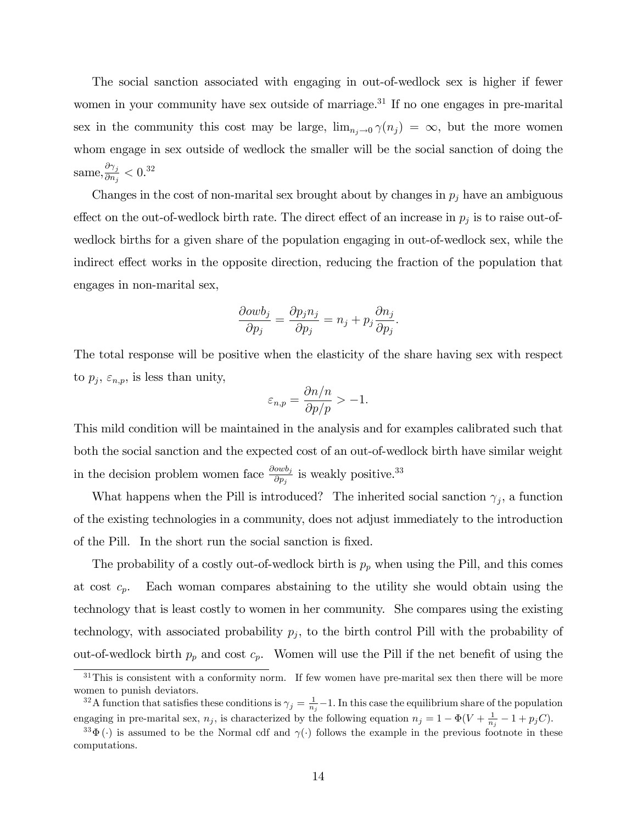The social sanction associated with engaging in out-of-wedlock sex is higher if fewer women in your community have sex outside of marriage.<sup>31</sup> If no one engages in pre-marital sex in the community this cost may be large,  $\lim_{n_j \to 0} \gamma(n_j) = \infty$ , but the more women whom engage in sex outside of wedlock the smaller will be the social sanction of doing the same,  $\frac{\partial \gamma_j}{\partial n}$  $\frac{\partial \gamma_j}{\partial n_j} < 0.32$ 

Changes in the cost of non-marital sex brought about by changes in  $p_j$  have an ambiguous effect on the out-of-wedlock birth rate. The direct effect of an increase in  $p_j$  is to raise out-ofwedlock births for a given share of the population engaging in out-of-wedlock sex, while the indirect effect works in the opposite direction, reducing the fraction of the population that engages in non-marital sex,

$$
\frac{\partial o w b_j}{\partial p_j} = \frac{\partial p_j n_j}{\partial p_j} = n_j + p_j \frac{\partial n_j}{\partial p_j}.
$$

The total response will be positive when the elasticity of the share having sex with respect to  $p_j$ ,  $\varepsilon_{n,p}$ , is less than unity,

$$
\varepsilon_{n,p} = \frac{\partial n/n}{\partial p/p} > -1.
$$

This mild condition will be maintained in the analysis and for examples calibrated such that both the social sanction and the expected cost of an out-of-wedlock birth have similar weight in the decision problem women face  $\frac{\partial owb_j}{\partial p_j}$  is weakly positive.<sup>33</sup>

What happens when the Pill is introduced? The inherited social sanction  $\gamma_j$ , a function of the existing technologies in a community, does not adjust immediately to the introduction of the Pill. In the short run the social sanction is fixed.

The probability of a costly out-of-wedlock birth is  $p_p$  when using the Pill, and this comes at cost  $c_p$ . Each woman compares abstaining to the utility she would obtain using the technology that is least costly to women in her community. She compares using the existing technology, with associated probability  $p_j$ , to the birth control Pill with the probability of out-of-wedlock birth  $p_p$  and cost  $c_p$ . Women will use the Pill if the net benefit of using the

 $31$ This is consistent with a conformity norm. If few women have pre-marital sex then there will be more women to punish deviators.

<sup>&</sup>lt;sup>32</sup>A function that satisfies these conditions is  $\gamma_j = \frac{1}{n_j} - 1$ . In this case the equilibrium share of the population engaging in pre-marital sex,  $n_j$ , is characterized by the following equation  $n_j = 1 - \Phi(V + \frac{1}{n_j} - 1 + p_j C)$ .

<sup>&</sup>lt;sup>33</sup> $\Phi(\cdot)$  is assumed to be the Normal cdf and  $\gamma(\cdot)$  follows the example in the previous footnote in these computations.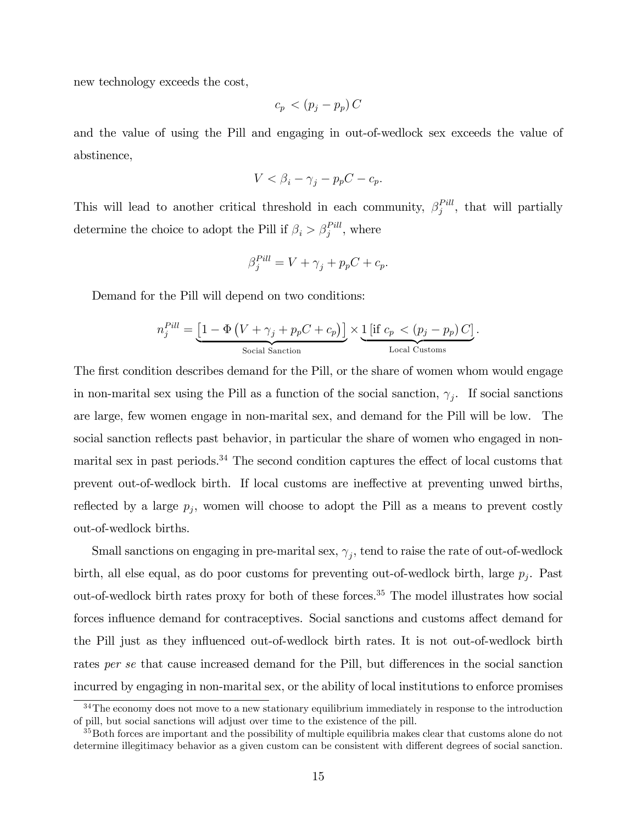new technology exceeds the cost,

$$
c_p \, < \, (p_j - p_p) \, C
$$

and the value of using the Pill and engaging in out-of-wedlock sex exceeds the value of abstinence,

$$
V < \beta_i - \gamma_j - p_p C - c_p.
$$

This will lead to another critical threshold in each community,  $\beta_i^{Pill}$  $j^{Pill}$ , that will partially determine the choice to adopt the Pill if  $\beta_i > \beta_j^{Pill}$ , where

$$
\beta_j^{Pill} = V + \gamma_j + p_p C + c_p.
$$

Demand for the Pill will depend on two conditions:

$$
n_j^{Pill} = \underbrace{\left[1 - \Phi\left(V + \gamma_j + p_p C + c_p\right)\right]}_{\text{Social Sanction}} \times \underbrace{1\left[\text{if } c_p \lt (p_j - p_p) C\right]}_{\text{Local Customs}}.
$$

The first condition describes demand for the Pill, or the share of women whom would engage in non-marital sex using the Pill as a function of the social sanction,  $\gamma_j$ . If social sanctions are large, few women engage in non-marital sex, and demand for the Pill will be low. The social sanction reflects past behavior, in particular the share of women who engaged in nonmarital sex in past periods.<sup>34</sup> The second condition captures the effect of local customs that prevent out-of-wedlock birth. If local customs are ineffective at preventing unwed births, reflected by a large  $p_j$ , women will choose to adopt the Pill as a means to prevent costly out-of-wedlock births.

Small sanctions on engaging in pre-marital sex,  $\gamma_j$ , tend to raise the rate of out-of-wedlock birth, all else equal, as do poor customs for preventing out-of-wedlock birth, large  $p_j$ . Past out-of-wedlock birth rates proxy for both of these forces.<sup>35</sup> The model illustrates how social forces influence demand for contraceptives. Social sanctions and customs affect demand for the Pill just as they influenced out-of-wedlock birth rates. It is not out-of-wedlock birth rates per se that cause increased demand for the Pill, but differences in the social sanction incurred by engaging in non-marital sex, or the ability of local institutions to enforce promises

<sup>&</sup>lt;sup>34</sup>The economy does not move to a new stationary equilibrium immediately in response to the introduction of pill, but social sanctions will adjust over time to the existence of the pill.

<sup>&</sup>lt;sup>35</sup>Both forces are important and the possibility of multiple equilibria makes clear that customs alone do not determine illegitimacy behavior as a given custom can be consistent with different degrees of social sanction.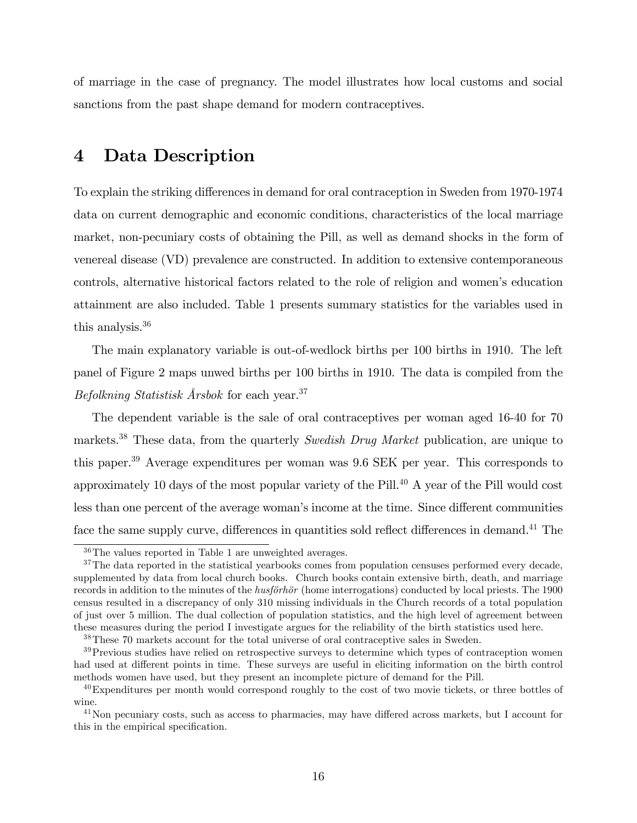of marriage in the case of pregnancy. The model illustrates how local customs and social sanctions from the past shape demand for modern contraceptives.

# 4 Data Description

To explain the striking differences in demand for oral contraception in Sweden from 1970-1974 data on current demographic and economic conditions, characteristics of the local marriage market, non-pecuniary costs of obtaining the Pill, as well as demand shocks in the form of venereal disease (VD) prevalence are constructed. In addition to extensive contemporaneous controls, alternative historical factors related to the role of religion and women's education attainment are also included. Table 1 presents summary statistics for the variables used in this analysis.<sup>36</sup>

The main explanatory variable is out-of-wedlock births per 100 births in 1910. The left panel of Figure 2 maps unwed births per 100 births in 1910. The data is compiled from the Befolkning Statistisk Årsbok for each year.<sup>37</sup>

The dependent variable is the sale of oral contraceptives per woman aged 16-40 for 70 markets.<sup>38</sup> These data, from the quarterly Swedish Drug Market publication, are unique to this paper.<sup>39</sup> Average expenditures per woman was 9.6 SEK per year. This corresponds to approximately 10 days of the most popular variety of the Pill.<sup>40</sup> A year of the Pill would cost less than one percent of the average woman's income at the time. Since different communities face the same supply curve, differences in quantities sold reflect differences in demand.<sup>41</sup> The

<sup>36</sup>The values reported in Table 1 are unweighted averages.

 $37$ The data reported in the statistical yearbooks comes from population censuses performed every decade, supplemented by data from local church books. Church books contain extensive birth, death, and marriage records in addition to the minutes of the *husförhör* (home interrogations) conducted by local priests. The 1900 census resulted in a discrepancy of only 310 missing individuals in the Church records of a total population of just over 5 million. The dual collection of population statistics, and the high level of agreement between these measures during the period I investigate argues for the reliability of the birth statistics used here.

<sup>38</sup>These 70 markets account for the total universe of oral contraceptive sales in Sweden.

<sup>&</sup>lt;sup>39</sup>Previous studies have relied on retrospective surveys to determine which types of contraception women had used at different points in time. These surveys are useful in eliciting information on the birth control methods women have used, but they present an incomplete picture of demand for the Pill.

 $^{40}$ Expenditures per month would correspond roughly to the cost of two movie tickets, or three bottles of wine.

 $^{41}$ Non pecuniary costs, such as access to pharmacies, may have differed across markets, but I account for this in the empirical specification.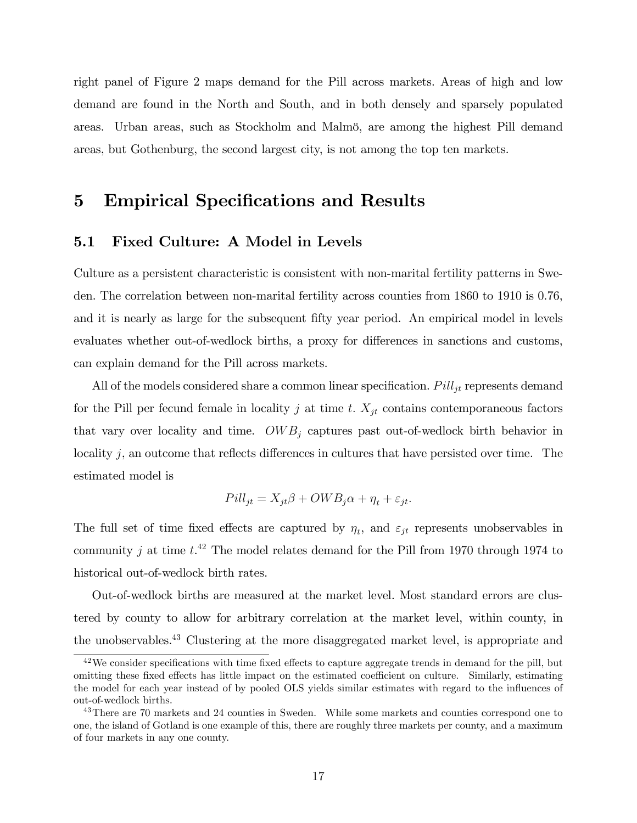right panel of Figure 2 maps demand for the Pill across markets. Areas of high and low demand are found in the North and South, and in both densely and sparsely populated areas. Urban areas, such as Stockholm and Malmö, are among the highest Pill demand areas, but Gothenburg, the second largest city, is not among the top ten markets.

# 5 Empirical Specifications and Results

### 5.1 Fixed Culture: A Model in Levels

Culture as a persistent characteristic is consistent with non-marital fertility patterns in Sweden. The correlation between non-marital fertility across counties from 1860 to 1910 is 0.76, and it is nearly as large for the subsequent fifty year period. An empirical model in levels evaluates whether out-of-wedlock births, a proxy for differences in sanctions and customs, can explain demand for the Pill across markets.

All of the models considered share a common linear specification.  $Pill_{jt}$  represents demand for the Pill per fecund female in locality j at time t.  $X_{jt}$  contains contemporaneous factors that vary over locality and time.  $OWB_j$  captures past out-of-wedlock birth behavior in locality  $j$ , an outcome that reflects differences in cultures that have persisted over time. The estimated model is

$$
Pill_{jt} = X_{jt}\beta + OWB_j\alpha + \eta_t + \varepsilon_{jt}.
$$

The full set of time fixed effects are captured by  $\eta_t$ , and  $\varepsilon_{jt}$  represents unobservables in community j at time  $t^{42}$  The model relates demand for the Pill from 1970 through 1974 to historical out-of-wedlock birth rates.

Out-of-wedlock births are measured at the market level. Most standard errors are clustered by county to allow for arbitrary correlation at the market level, within county, in the unobservables.<sup>43</sup> Clustering at the more disaggregated market level, is appropriate and

 $42\,\text{We consider specifications with time fixed effects to capture aggregate trends in demand for the pill, but}$ omitting these fixed effects has little impact on the estimated coefficient on culture. Similarly, estimating the model for each year instead of by pooled OLS yields similar estimates with regard to the ináuences of out-of-wedlock births.

<sup>&</sup>lt;sup>43</sup>There are 70 markets and 24 counties in Sweden. While some markets and counties correspond one to one, the island of Gotland is one example of this, there are roughly three markets per county, and a maximum of four markets in any one county.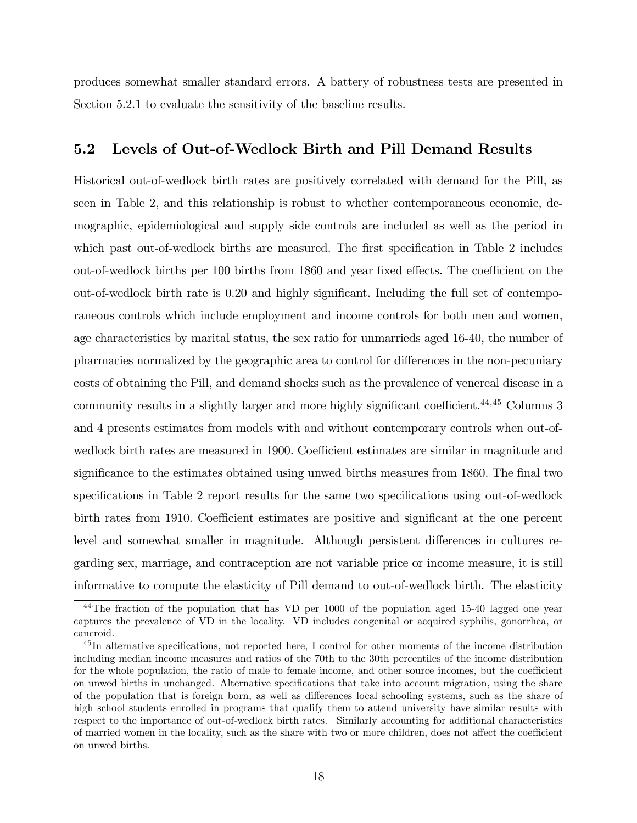produces somewhat smaller standard errors. A battery of robustness tests are presented in Section 5.2.1 to evaluate the sensitivity of the baseline results.

### 5.2 Levels of Out-of-Wedlock Birth and Pill Demand Results

Historical out-of-wedlock birth rates are positively correlated with demand for the Pill, as seen in Table 2, and this relationship is robust to whether contemporaneous economic, demographic, epidemiological and supply side controls are included as well as the period in which past out-of-wedlock births are measured. The first specification in Table 2 includes out-of-wedlock births per 100 births from 1860 and year fixed effects. The coefficient on the out-of-wedlock birth rate is  $0.20$  and highly significant. Including the full set of contemporaneous controls which include employment and income controls for both men and women, age characteristics by marital status, the sex ratio for unmarrieds aged 16-40, the number of pharmacies normalized by the geographic area to control for differences in the non-pecuniary costs of obtaining the Pill, and demand shocks such as the prevalence of venereal disease in a community results in a slightly larger and more highly significant coefficient.<sup>44,45</sup> Columns 3 and 4 presents estimates from models with and without contemporary controls when out-ofwedlock birth rates are measured in 1900. Coefficient estimates are similar in magnitude and significance to the estimates obtained using unwed births measures from 1860. The final two specifications in Table 2 report results for the same two specifications using out-of-wedlock birth rates from 1910. Coefficient estimates are positive and significant at the one percent level and somewhat smaller in magnitude. Although persistent differences in cultures regarding sex, marriage, and contraception are not variable price or income measure, it is still informative to compute the elasticity of Pill demand to out-of-wedlock birth. The elasticity

<sup>&</sup>lt;sup>44</sup>The fraction of the population that has VD per 1000 of the population aged 15-40 lagged one year captures the prevalence of VD in the locality. VD includes congenital or acquired syphilis, gonorrhea, or cancroid.

 $^{45}$ In alternative specifications, not reported here, I control for other moments of the income distribution including median income measures and ratios of the 70th to the 30th percentiles of the income distribution for the whole population, the ratio of male to female income, and other source incomes, but the coefficient on unwed births in unchanged. Alternative specifications that take into account migration, using the share of the population that is foreign born, as well as differences local schooling systems, such as the share of high school students enrolled in programs that qualify them to attend university have similar results with respect to the importance of out-of-wedlock birth rates. Similarly accounting for additional characteristics of married women in the locality, such as the share with two or more children, does not affect the coefficient on unwed births.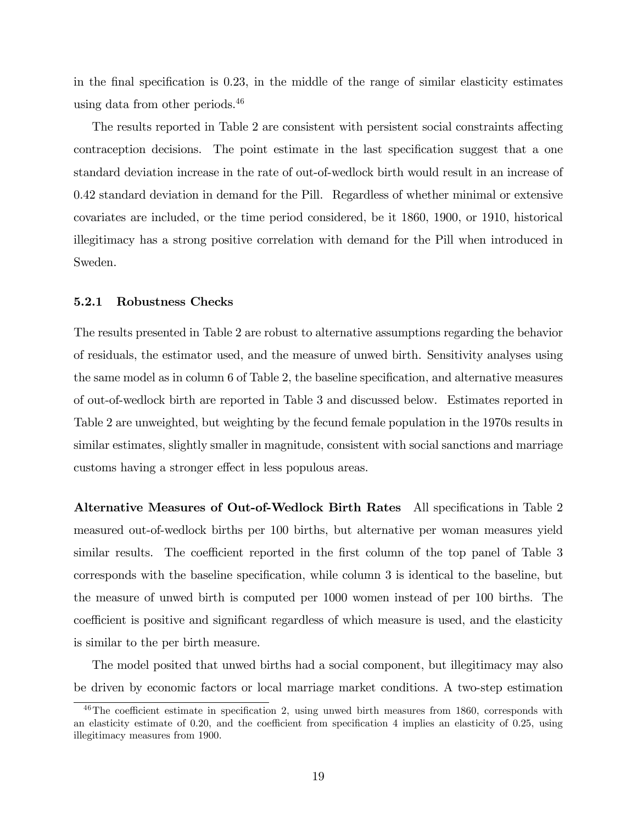in the final specification is  $0.23$ , in the middle of the range of similar elasticity estimates using data from other periods.<sup>46</sup>

The results reported in Table 2 are consistent with persistent social constraints affecting contraception decisions. The point estimate in the last specification suggest that a one standard deviation increase in the rate of out-of-wedlock birth would result in an increase of 0.42 standard deviation in demand for the Pill. Regardless of whether minimal or extensive covariates are included, or the time period considered, be it 1860, 1900, or 1910, historical illegitimacy has a strong positive correlation with demand for the Pill when introduced in Sweden.

#### 5.2.1 Robustness Checks

The results presented in Table 2 are robust to alternative assumptions regarding the behavior of residuals, the estimator used, and the measure of unwed birth. Sensitivity analyses using the same model as in column  $6$  of Table 2, the baseline specification, and alternative measures of out-of-wedlock birth are reported in Table 3 and discussed below. Estimates reported in Table 2 are unweighted, but weighting by the fecund female population in the 1970s results in similar estimates, slightly smaller in magnitude, consistent with social sanctions and marriage customs having a stronger effect in less populous areas.

Alternative Measures of Out-of-Wedlock Birth Rates All specifications in Table 2 measured out-of-wedlock births per 100 births, but alternative per woman measures yield similar results. The coefficient reported in the first column of the top panel of Table 3 corresponds with the baseline specification, while column 3 is identical to the baseline, but the measure of unwed birth is computed per 1000 women instead of per 100 births. The coefficient is positive and significant regardless of which measure is used, and the elasticity is similar to the per birth measure.

The model posited that unwed births had a social component, but illegitimacy may also be driven by economic factors or local marriage market conditions. A two-step estimation

 $^{46}$ The coefficient estimate in specification 2, using unwed birth measures from 1860, corresponds with an elasticity estimate of  $0.20$ , and the coefficient from specification 4 implies an elasticity of  $0.25$ , using illegitimacy measures from 1900.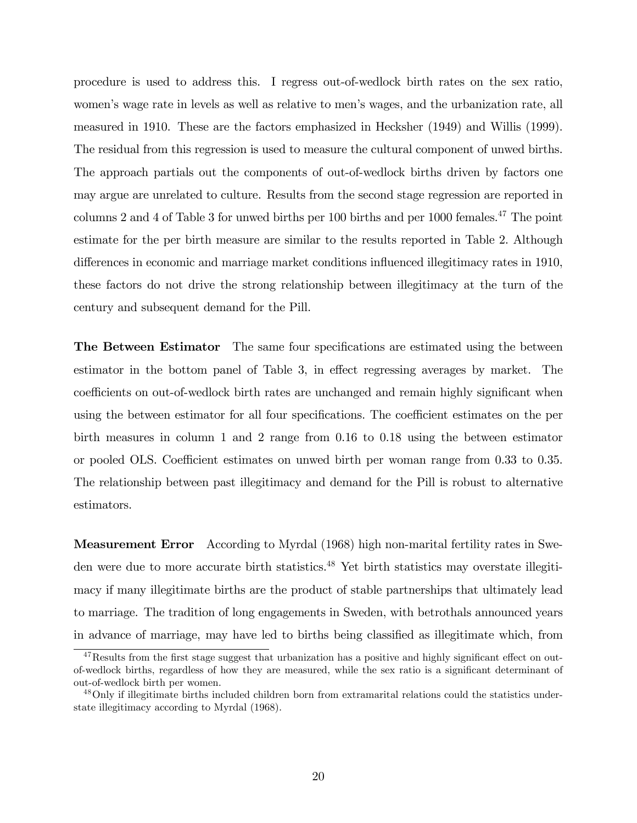procedure is used to address this. I regress out-of-wedlock birth rates on the sex ratio, women's wage rate in levels as well as relative to men's wages, and the urbanization rate, all measured in 1910. These are the factors emphasized in Hecksher (1949) and Willis (1999). The residual from this regression is used to measure the cultural component of unwed births. The approach partials out the components of out-of-wedlock births driven by factors one may argue are unrelated to culture. Results from the second stage regression are reported in columns 2 and 4 of Table 3 for unwed births per 100 births and per  $1000$  females.<sup>47</sup> The point estimate for the per birth measure are similar to the results reported in Table 2. Although differences in economic and marriage market conditions influenced illegitimacy rates in 1910, these factors do not drive the strong relationship between illegitimacy at the turn of the century and subsequent demand for the Pill.

**The Between Estimator** The same four specifications are estimated using the between estimator in the bottom panel of Table 3, in effect regressing averages by market. The coefficients on out-of-wedlock birth rates are unchanged and remain highly significant when using the between estimator for all four specifications. The coefficient estimates on the per birth measures in column 1 and 2 range from 0.16 to 0.18 using the between estimator or pooled OLS. Coefficient estimates on unwed birth per woman range from 0.33 to 0.35. The relationship between past illegitimacy and demand for the Pill is robust to alternative estimators.

Measurement Error According to Myrdal (1968) high non-marital fertility rates in Sweden were due to more accurate birth statistics.<sup>48</sup> Yet birth statistics may overstate illegitimacy if many illegitimate births are the product of stable partnerships that ultimately lead to marriage. The tradition of long engagements in Sweden, with betrothals announced years in advance of marriage, may have led to births being classified as illegitimate which, from

 $47$ Results from the first stage suggest that urbanization has a positive and highly significant effect on outof-wedlock births, regardless of how they are measured, while the sex ratio is a significant determinant of out-of-wedlock birth per women.

<sup>&</sup>lt;sup>48</sup>Only if illegitimate births included children born from extramarital relations could the statistics understate illegitimacy according to Myrdal (1968).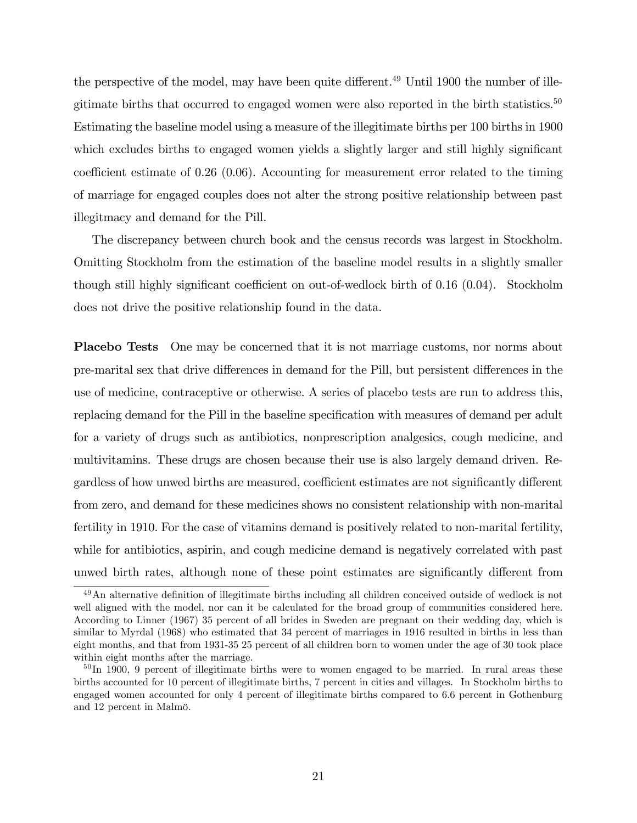the perspective of the model, may have been quite different.<sup>49</sup> Until 1900 the number of illegitimate births that occurred to engaged women were also reported in the birth statistics.<sup>50</sup> Estimating the baseline model using a measure of the illegitimate births per 100 births in 1900 which excludes births to engaged women yields a slightly larger and still highly significant coefficient estimate of 0.26 (0.06). Accounting for measurement error related to the timing of marriage for engaged couples does not alter the strong positive relationship between past illegitmacy and demand for the Pill.

The discrepancy between church book and the census records was largest in Stockholm. Omitting Stockholm from the estimation of the baseline model results in a slightly smaller though still highly significant coefficient on out-of-wedlock birth of  $0.16$   $(0.04)$ . Stockholm does not drive the positive relationship found in the data.

**Placebo Tests** One may be concerned that it is not marriage customs, nor norms about pre-marital sex that drive differences in demand for the Pill, but persistent differences in the use of medicine, contraceptive or otherwise. A series of placebo tests are run to address this, replacing demand for the Pill in the baseline specification with measures of demand per adult for a variety of drugs such as antibiotics, nonprescription analgesics, cough medicine, and multivitamins. These drugs are chosen because their use is also largely demand driven. Regardless of how unwed births are measured, coefficient estimates are not significantly different from zero, and demand for these medicines shows no consistent relationship with non-marital fertility in 1910. For the case of vitamins demand is positively related to non-marital fertility, while for antibiotics, aspirin, and cough medicine demand is negatively correlated with past unwed birth rates, although none of these point estimates are significantly different from

 $49$ An alternative definition of illegitimate births including all children conceived outside of wedlock is not well aligned with the model, nor can it be calculated for the broad group of communities considered here. According to Linner (1967) 35 percent of all brides in Sweden are pregnant on their wedding day, which is similar to Myrdal (1968) who estimated that 34 percent of marriages in 1916 resulted in births in less than eight months, and that from 1931-35 25 percent of all children born to women under the age of 30 took place within eight months after the marriage.

 $50 \text{ In } 1900$ , 9 percent of illegitimate births were to women engaged to be married. In rural areas these births accounted for 10 percent of illegitimate births, 7 percent in cities and villages. In Stockholm births to engaged women accounted for only 4 percent of illegitimate births compared to 6.6 percent in Gothenburg and 12 percent in Malmö.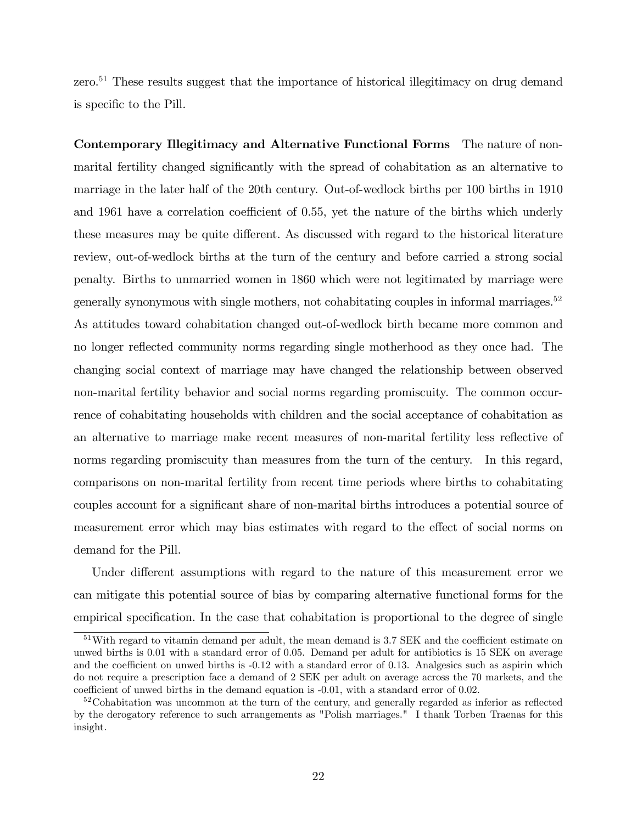zero.<sup>51</sup> These results suggest that the importance of historical illegitimacy on drug demand is specific to the Pill.

Contemporary Illegitimacy and Alternative Functional Forms The nature of nonmarital fertility changed significantly with the spread of cohabitation as an alternative to marriage in the later half of the 20th century. Out-of-wedlock births per 100 births in 1910 and 1961 have a correlation coefficient of 0.55, yet the nature of the births which underly these measures may be quite different. As discussed with regard to the historical literature review, out-of-wedlock births at the turn of the century and before carried a strong social penalty. Births to unmarried women in 1860 which were not legitimated by marriage were generally synonymous with single mothers, not cohabitating couples in informal marriages.<sup>52</sup> As attitudes toward cohabitation changed out-of-wedlock birth became more common and no longer reflected community norms regarding single motherhood as they once had. The changing social context of marriage may have changed the relationship between observed non-marital fertility behavior and social norms regarding promiscuity. The common occurrence of cohabitating households with children and the social acceptance of cohabitation as an alternative to marriage make recent measures of non-marital fertility less reflective of norms regarding promiscuity than measures from the turn of the century. In this regard, comparisons on non-marital fertility from recent time periods where births to cohabitating couples account for a significant share of non-marital births introduces a potential source of measurement error which may bias estimates with regard to the effect of social norms on demand for the Pill.

Under different assumptions with regard to the nature of this measurement error we can mitigate this potential source of bias by comparing alternative functional forms for the empirical specification. In the case that cohabitation is proportional to the degree of single

 $51$ With regard to vitamin demand per adult, the mean demand is 3.7 SEK and the coefficient estimate on unwed births is 0.01 with a standard error of 0.05. Demand per adult for antibiotics is 15 SEK on average and the coefficient on unwed births is  $-0.12$  with a standard error of 0.13. Analgesics such as aspirin which do not require a prescription face a demand of 2 SEK per adult on average across the 70 markets, and the coefficient of unwed births in the demand equation is -0.01, with a standard error of 0.02.

 $52\text{Cohabitation was uncommon at the turn of the century, and generally regarded as inferior as reflected}$ by the derogatory reference to such arrangements as "Polish marriages." I thank Torben Traenas for this insight.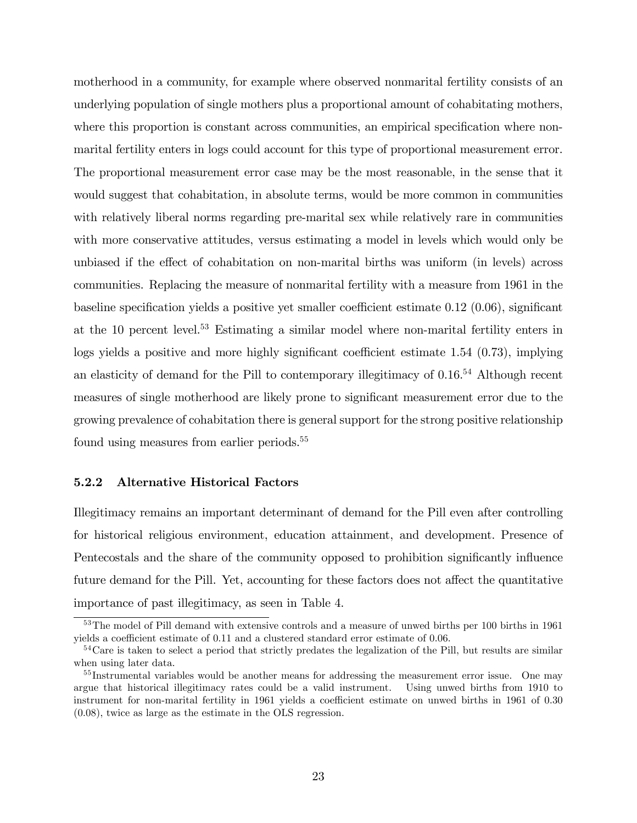motherhood in a community, for example where observed nonmarital fertility consists of an underlying population of single mothers plus a proportional amount of cohabitating mothers, where this proportion is constant across communities, an empirical specification where nonmarital fertility enters in logs could account for this type of proportional measurement error. The proportional measurement error case may be the most reasonable, in the sense that it would suggest that cohabitation, in absolute terms, would be more common in communities with relatively liberal norms regarding pre-marital sex while relatively rare in communities with more conservative attitudes, versus estimating a model in levels which would only be unbiased if the effect of cohabitation on non-marital births was uniform (in levels) across communities. Replacing the measure of nonmarital fertility with a measure from 1961 in the baseline specification yields a positive yet smaller coefficient estimate  $0.12$  (0.06), significant at the 10 percent level.<sup>53</sup> Estimating a similar model where non-marital fertility enters in logs yields a positive and more highly significant coefficient estimate  $1.54$  (0.73), implying an elasticity of demand for the Pill to contemporary illegitimacy of  $0.16^{54}$  Although recent measures of single motherhood are likely prone to significant measurement error due to the growing prevalence of cohabitation there is general support for the strong positive relationship found using measures from earlier periods.<sup>55</sup>

#### 5.2.2 Alternative Historical Factors

Illegitimacy remains an important determinant of demand for the Pill even after controlling for historical religious environment, education attainment, and development. Presence of Pentecostals and the share of the community opposed to prohibition significantly influence future demand for the Pill. Yet, accounting for these factors does not affect the quantitative importance of past illegitimacy, as seen in Table 4.

<sup>&</sup>lt;sup>53</sup>The model of Pill demand with extensive controls and a measure of unwed births per 100 births in 1961 yields a coefficient estimate of  $0.11$  and a clustered standard error estimate of  $0.06$ .

<sup>&</sup>lt;sup>54</sup>Care is taken to select a period that strictly predates the legalization of the Pill, but results are similar when using later data.

<sup>&</sup>lt;sup>55</sup>Instrumental variables would be another means for addressing the measurement error issue. One may argue that historical illegitimacy rates could be a valid instrument. Using unwed births from 1910 to instrument for non-marital fertility in 1961 yields a coefficient estimate on unwed births in 1961 of 0.30 (0.08), twice as large as the estimate in the OLS regression.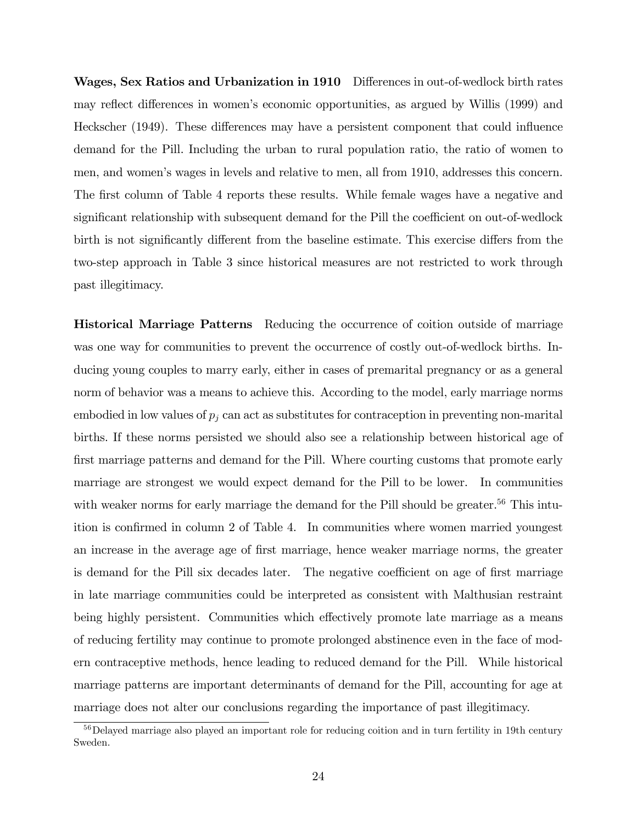Wages, Sex Ratios and Urbanization in 1910 Differences in out-of-wedlock birth rates may reflect differences in women's economic opportunities, as argued by Willis (1999) and Heckscher (1949). These differences may have a persistent component that could influence demand for the Pill. Including the urban to rural population ratio, the ratio of women to men, and womenís wages in levels and relative to men, all from 1910, addresses this concern. The first column of Table 4 reports these results. While female wages have a negative and significant relationship with subsequent demand for the Pill the coefficient on out-of-wedlock birth is not significantly different from the baseline estimate. This exercise differs from the two-step approach in Table 3 since historical measures are not restricted to work through past illegitimacy.

Historical Marriage Patterns Reducing the occurrence of coition outside of marriage was one way for communities to prevent the occurrence of costly out-of-wedlock births. Inducing young couples to marry early, either in cases of premarital pregnancy or as a general norm of behavior was a means to achieve this. According to the model, early marriage norms embodied in low values of  $p_j$  can act as substitutes for contraception in preventing non-marital births. If these norms persisted we should also see a relationship between historical age of first marriage patterns and demand for the Pill. Where courting customs that promote early marriage are strongest we would expect demand for the Pill to be lower. In communities with weaker norms for early marriage the demand for the Pill should be greater.<sup>56</sup> This intuition is confirmed in column 2 of Table 4. In communities where women married youngest an increase in the average age of Örst marriage, hence weaker marriage norms, the greater is demand for the Pill six decades later. The negative coefficient on age of first marriage in late marriage communities could be interpreted as consistent with Malthusian restraint being highly persistent. Communities which effectively promote late marriage as a means of reducing fertility may continue to promote prolonged abstinence even in the face of modern contraceptive methods, hence leading to reduced demand for the Pill. While historical marriage patterns are important determinants of demand for the Pill, accounting for age at marriage does not alter our conclusions regarding the importance of past illegitimacy.

<sup>&</sup>lt;sup>56</sup>Delayed marriage also played an important role for reducing coition and in turn fertility in 19th century Sweden.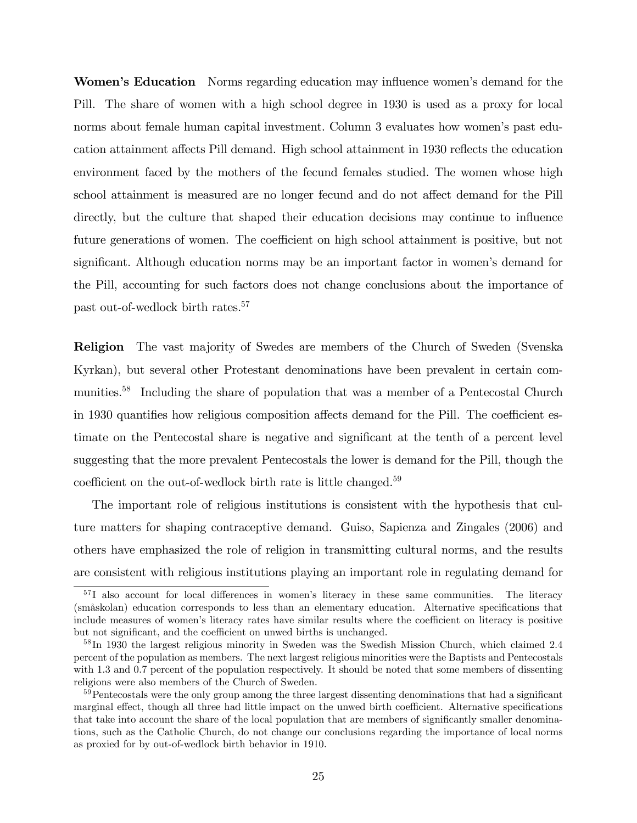Women's Education Norms regarding education may influence women's demand for the Pill. The share of women with a high school degree in 1930 is used as a proxy for local norms about female human capital investment. Column 3 evaluates how women's past education attainment affects Pill demand. High school attainment in 1930 reflects the education environment faced by the mothers of the fecund females studied. The women whose high school attainment is measured are no longer fecund and do not affect demand for the Pill directly, but the culture that shaped their education decisions may continue to influence future generations of women. The coefficient on high school attainment is positive, but not significant. Although education norms may be an important factor in women's demand for the Pill, accounting for such factors does not change conclusions about the importance of past out-of-wedlock birth rates.<sup>57</sup>

Religion The vast majority of Swedes are members of the Church of Sweden (Svenska Kyrkan), but several other Protestant denominations have been prevalent in certain communities.<sup>58</sup> Including the share of population that was a member of a Pentecostal Church in 1930 quantifies how religious composition affects demand for the Pill. The coefficient estimate on the Pentecostal share is negative and significant at the tenth of a percent level suggesting that the more prevalent Pentecostals the lower is demand for the Pill, though the coefficient on the out-of-wedlock birth rate is little changed.<sup>59</sup>

The important role of religious institutions is consistent with the hypothesis that culture matters for shaping contraceptive demand. Guiso, Sapienza and Zingales (2006) and others have emphasized the role of religion in transmitting cultural norms, and the results are consistent with religious institutions playing an important role in regulating demand for

 $57$ I also account for local differences in women's literacy in these same communities. The literacy (småskolan) education corresponds to less than an elementary education. Alternative specifications that include measures of women's literacy rates have similar results where the coefficient on literacy is positive but not significant, and the coefficient on unwed births is unchanged.

<sup>&</sup>lt;sup>58</sup>In 1930 the largest religious minority in Sweden was the Swedish Mission Church, which claimed 2.4 percent of the population as members. The next largest religious minorities were the Baptists and Pentecostals with 1.3 and 0.7 percent of the population respectively. It should be noted that some members of dissenting religions were also members of the Church of Sweden.

 $59$ Pentecostals were the only group among the three largest dissenting denominations that had a significant marginal effect, though all three had little impact on the unwed birth coefficient. Alternative specifications that take into account the share of the local population that are members of significantly smaller denominations, such as the Catholic Church, do not change our conclusions regarding the importance of local norms as proxied for by out-of-wedlock birth behavior in 1910.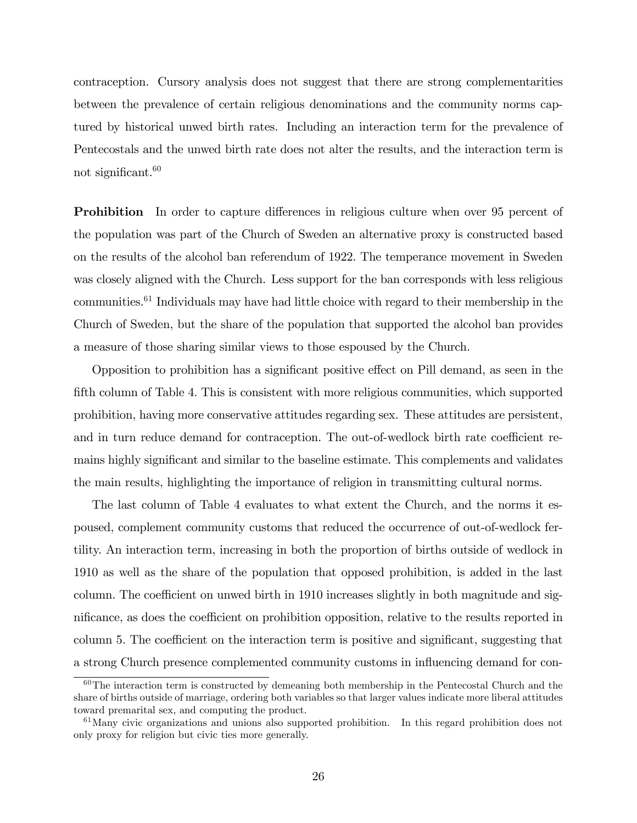contraception. Cursory analysis does not suggest that there are strong complementarities between the prevalence of certain religious denominations and the community norms captured by historical unwed birth rates. Including an interaction term for the prevalence of Pentecostals and the unwed birth rate does not alter the results, and the interaction term is not significant. $60$ 

**Prohibition** In order to capture differences in religious culture when over 95 percent of the population was part of the Church of Sweden an alternative proxy is constructed based on the results of the alcohol ban referendum of 1922. The temperance movement in Sweden was closely aligned with the Church. Less support for the ban corresponds with less religious communities. $61$  Individuals may have had little choice with regard to their membership in the Church of Sweden, but the share of the population that supported the alcohol ban provides a measure of those sharing similar views to those espoused by the Church.

Opposition to prohibition has a significant positive effect on Pill demand, as seen in the fifth column of Table 4. This is consistent with more religious communities, which supported prohibition, having more conservative attitudes regarding sex. These attitudes are persistent, and in turn reduce demand for contraception. The out-of-wedlock birth rate coefficient remains highly significant and similar to the baseline estimate. This complements and validates the main results, highlighting the importance of religion in transmitting cultural norms.

The last column of Table 4 evaluates to what extent the Church, and the norms it espoused, complement community customs that reduced the occurrence of out-of-wedlock fertility. An interaction term, increasing in both the proportion of births outside of wedlock in 1910 as well as the share of the population that opposed prohibition, is added in the last column. The coefficient on unwed birth in 1910 increases slightly in both magnitude and significance, as does the coefficient on prohibition opposition, relative to the results reported in column 5. The coefficient on the interaction term is positive and significant, suggesting that a strong Church presence complemented community customs in influencing demand for con-

 $60$ The interaction term is constructed by demeaning both membership in the Pentecostal Church and the share of births outside of marriage, ordering both variables so that larger values indicate more liberal attitudes toward premarital sex, and computing the product.

 $61$ Many civic organizations and unions also supported prohibition. In this regard prohibition does not only proxy for religion but civic ties more generally.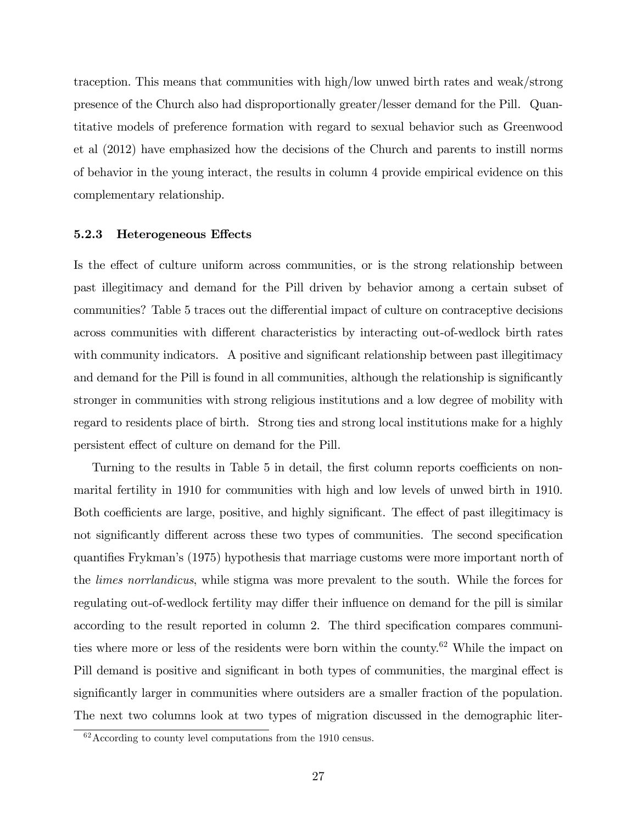traception. This means that communities with high/low unwed birth rates and weak/strong presence of the Church also had disproportionally greater/lesser demand for the Pill. Quantitative models of preference formation with regard to sexual behavior such as Greenwood et al (2012) have emphasized how the decisions of the Church and parents to instill norms of behavior in the young interact, the results in column 4 provide empirical evidence on this complementary relationship.

#### 5.2.3 Heterogeneous Effects

Is the effect of culture uniform across communities, or is the strong relationship between past illegitimacy and demand for the Pill driven by behavior among a certain subset of communities? Table 5 traces out the differential impact of culture on contraceptive decisions across communities with different characteristics by interacting out-of-wedlock birth rates with community indicators. A positive and significant relationship between past illegitimacy and demand for the Pill is found in all communities, although the relationship is significantly stronger in communities with strong religious institutions and a low degree of mobility with regard to residents place of birth. Strong ties and strong local institutions make for a highly persistent effect of culture on demand for the Pill.

Turning to the results in Table 5 in detail, the first column reports coefficients on nonmarital fertility in 1910 for communities with high and low levels of unwed birth in 1910. Both coefficients are large, positive, and highly significant. The effect of past illegitimacy is not significantly different across these two types of communities. The second specification quantifies Frykman's (1975) hypothesis that marriage customs were more important north of the limes norrlandicus, while stigma was more prevalent to the south. While the forces for regulating out-of-wedlock fertility may differ their influence on demand for the pill is similar according to the result reported in column 2. The third specification compares communities where more or less of the residents were born within the county.<sup>62</sup> While the impact on Pill demand is positive and significant in both types of communities, the marginal effect is significantly larger in communities where outsiders are a smaller fraction of the population. The next two columns look at two types of migration discussed in the demographic liter-

<sup>62</sup>According to county level computations from the 1910 census.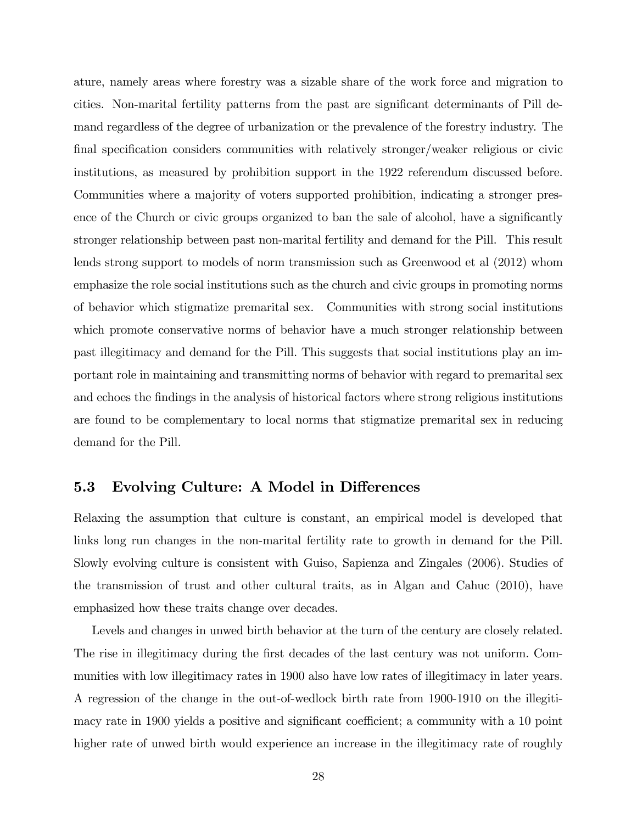ature, namely areas where forestry was a sizable share of the work force and migration to cities. Non-marital fertility patterns from the past are significant determinants of Pill demand regardless of the degree of urbanization or the prevalence of the forestry industry. The final specification considers communities with relatively stronger/weaker religious or civic institutions, as measured by prohibition support in the 1922 referendum discussed before. Communities where a majority of voters supported prohibition, indicating a stronger presence of the Church or civic groups organized to ban the sale of alcohol, have a significantly stronger relationship between past non-marital fertility and demand for the Pill. This result lends strong support to models of norm transmission such as Greenwood et al (2012) whom emphasize the role social institutions such as the church and civic groups in promoting norms of behavior which stigmatize premarital sex. Communities with strong social institutions which promote conservative norms of behavior have a much stronger relationship between past illegitimacy and demand for the Pill. This suggests that social institutions play an important role in maintaining and transmitting norms of behavior with regard to premarital sex and echoes the findings in the analysis of historical factors where strong religious institutions are found to be complementary to local norms that stigmatize premarital sex in reducing demand for the Pill.

## 5.3 Evolving Culture: A Model in Differences

Relaxing the assumption that culture is constant, an empirical model is developed that links long run changes in the non-marital fertility rate to growth in demand for the Pill. Slowly evolving culture is consistent with Guiso, Sapienza and Zingales (2006). Studies of the transmission of trust and other cultural traits, as in Algan and Cahuc (2010), have emphasized how these traits change over decades.

Levels and changes in unwed birth behavior at the turn of the century are closely related. The rise in illegitimacy during the first decades of the last century was not uniform. Communities with low illegitimacy rates in 1900 also have low rates of illegitimacy in later years. A regression of the change in the out-of-wedlock birth rate from 1900-1910 on the illegitimacy rate in 1900 yields a positive and significant coefficient; a community with a 10 point higher rate of unwed birth would experience an increase in the illegitimacy rate of roughly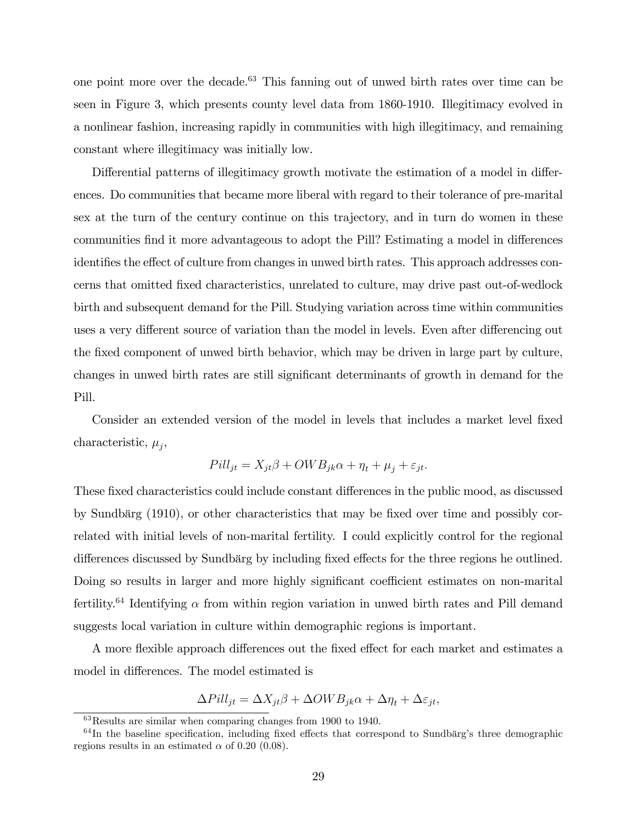one point more over the decade.<sup>63</sup> This fanning out of unwed birth rates over time can be seen in Figure 3, which presents county level data from 1860-1910. Illegitimacy evolved in a nonlinear fashion, increasing rapidly in communities with high illegitimacy, and remaining constant where illegitimacy was initially low.

Differential patterns of illegitimacy growth motivate the estimation of a model in differences. Do communities that became more liberal with regard to their tolerance of pre-marital sex at the turn of the century continue on this trajectory, and in turn do women in these communities find it more advantageous to adopt the Pill? Estimating a model in differences identifies the effect of culture from changes in unwed birth rates. This approach addresses concerns that omitted Öxed characteristics, unrelated to culture, may drive past out-of-wedlock birth and subsequent demand for the Pill. Studying variation across time within communities uses a very different source of variation than the model in levels. Even after differencing out the fixed component of unwed birth behavior, which may be driven in large part by culture, changes in unwed birth rates are still significant determinants of growth in demand for the Pill.

Consider an extended version of the model in levels that includes a market level fixed characteristic,  $\mu_j$ ,

$$
Pill_{jt} = X_{jt}\beta + OWB_{jk}\alpha + \eta_t + \mu_j + \varepsilon_{jt}.
$$

These fixed characteristics could include constant differences in the public mood, as discussed by Sundbärg (1910), or other characteristics that may be fixed over time and possibly correlated with initial levels of non-marital fertility. I could explicitly control for the regional differences discussed by Sundbärg by including fixed effects for the three regions he outlined. Doing so results in larger and more highly significant coefficient estimates on non-marital fertility.<sup>64</sup> Identifying  $\alpha$  from within region variation in unwed birth rates and Pill demand suggests local variation in culture within demographic regions is important.

A more flexible approach differences out the fixed effect for each market and estimates a model in differences. The model estimated is

$$
\Delta{Pill_{jt}} = \Delta X_{jt} \beta + \Delta OWB_{jk}\alpha + \Delta \eta_t + \Delta \varepsilon_{jt},
$$

<sup>63</sup>Results are similar when comparing changes from 1900 to 1940.

 $64$ In the baseline specification, including fixed effects that correspond to Sundbärg's three demographic regions results in an estimated  $\alpha$  of 0.20 (0.08).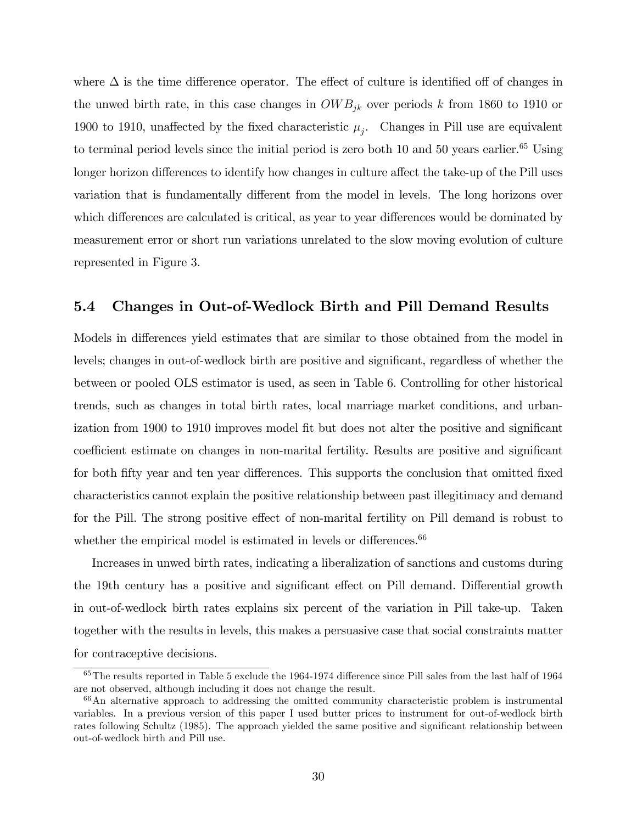where  $\Delta$  is the time difference operator. The effect of culture is identified off of changes in the unwed birth rate, in this case changes in  $OWB_{ik}$  over periods k from 1860 to 1910 or 1900 to 1910, unaffected by the fixed characteristic  $\mu_j$ . Changes in Pill use are equivalent to terminal period levels since the initial period is zero both  $10$  and  $50$  years earlier.<sup>65</sup> Using longer horizon differences to identify how changes in culture affect the take-up of the Pill uses variation that is fundamentally different from the model in levels. The long horizons over which differences are calculated is critical, as year to year differences would be dominated by measurement error or short run variations unrelated to the slow moving evolution of culture represented in Figure 3.

#### 5.4 Changes in Out-of-Wedlock Birth and Pill Demand Results

Models in differences yield estimates that are similar to those obtained from the model in levels; changes in out-of-wedlock birth are positive and significant, regardless of whether the between or pooled OLS estimator is used, as seen in Table 6. Controlling for other historical trends, such as changes in total birth rates, local marriage market conditions, and urbanization from 1900 to 1910 improves model fit but does not alter the positive and significant coefficient estimate on changes in non-marital fertility. Results are positive and significant for both fifty year and ten year differences. This supports the conclusion that omitted fixed characteristics cannot explain the positive relationship between past illegitimacy and demand for the Pill. The strong positive effect of non-marital fertility on Pill demand is robust to whether the empirical model is estimated in levels or differences. $66$ 

Increases in unwed birth rates, indicating a liberalization of sanctions and customs during the 19th century has a positive and significant effect on Pill demand. Differential growth in out-of-wedlock birth rates explains six percent of the variation in Pill take-up. Taken together with the results in levels, this makes a persuasive case that social constraints matter for contraceptive decisions.

 $65$ The results reported in Table 5 exclude the 1964-1974 difference since Pill sales from the last half of 1964 are not observed, although including it does not change the result.

<sup>66</sup>An alternative approach to addressing the omitted community characteristic problem is instrumental variables. In a previous version of this paper I used butter prices to instrument for out-of-wedlock birth rates following Schultz (1985). The approach yielded the same positive and significant relationship between out-of-wedlock birth and Pill use.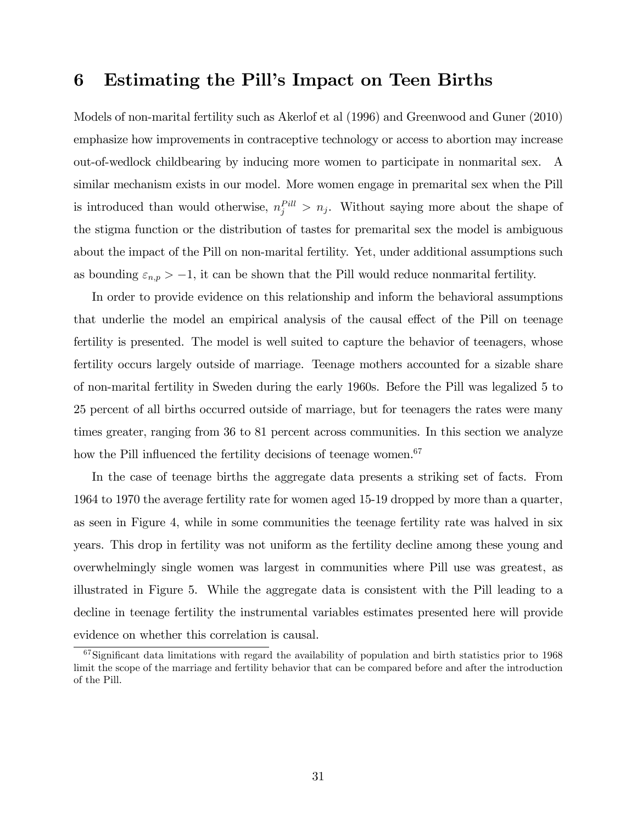# 6 Estimating the Pill's Impact on Teen Births

Models of non-marital fertility such as Akerlof et al (1996) and Greenwood and Guner (2010) emphasize how improvements in contraceptive technology or access to abortion may increase out-of-wedlock childbearing by inducing more women to participate in nonmarital sex. A similar mechanism exists in our model. More women engage in premarital sex when the Pill is introduced than would otherwise,  $n_j^{Pill} > n_j$ . Without saying more about the shape of the stigma function or the distribution of tastes for premarital sex the model is ambiguous about the impact of the Pill on non-marital fertility. Yet, under additional assumptions such as bounding  $\varepsilon_{n,p} > -1$ , it can be shown that the Pill would reduce nonmarital fertility.

In order to provide evidence on this relationship and inform the behavioral assumptions that underlie the model an empirical analysis of the causal effect of the Pill on teenage fertility is presented. The model is well suited to capture the behavior of teenagers, whose fertility occurs largely outside of marriage. Teenage mothers accounted for a sizable share of non-marital fertility in Sweden during the early 1960s. Before the Pill was legalized 5 to 25 percent of all births occurred outside of marriage, but for teenagers the rates were many times greater, ranging from 36 to 81 percent across communities. In this section we analyze how the Pill influenced the fertility decisions of teenage women.<sup>67</sup>

In the case of teenage births the aggregate data presents a striking set of facts. From 1964 to 1970 the average fertility rate for women aged 15-19 dropped by more than a quarter, as seen in Figure 4, while in some communities the teenage fertility rate was halved in six years. This drop in fertility was not uniform as the fertility decline among these young and overwhelmingly single women was largest in communities where Pill use was greatest, as illustrated in Figure 5. While the aggregate data is consistent with the Pill leading to a decline in teenage fertility the instrumental variables estimates presented here will provide evidence on whether this correlation is causal.

 $67$ Significant data limitations with regard the availability of population and birth statistics prior to 1968 limit the scope of the marriage and fertility behavior that can be compared before and after the introduction of the Pill.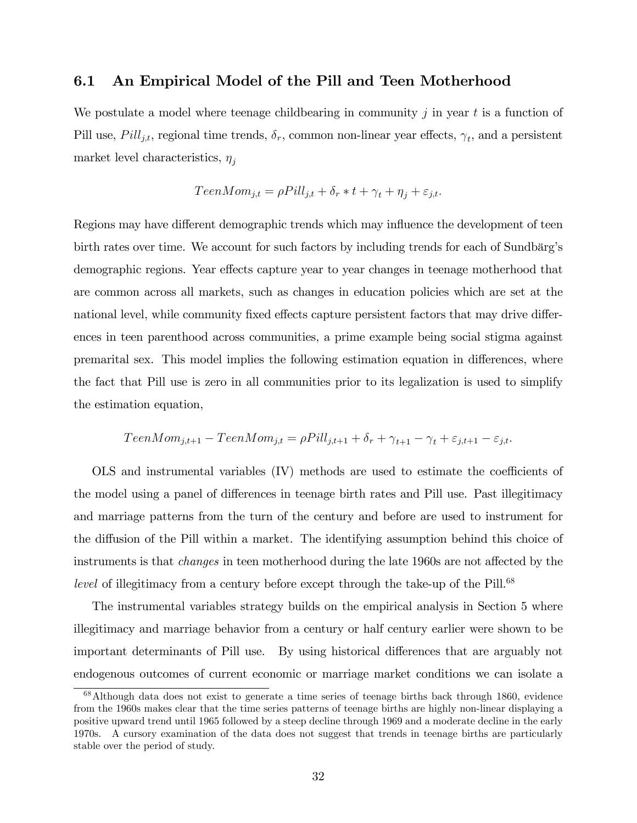#### 6.1 An Empirical Model of the Pill and Teen Motherhood

We postulate a model where teenage childbearing in community  $j$  in year  $t$  is a function of Pill use,  $Pill_{j,t}$ , regional time trends,  $\delta_r$ , common non-linear year effects,  $\gamma_t$ , and a persistent market level characteristics,  $\eta_i$ 

$$
TeenMom_{j,t} = \rho Pill_{j,t} + \delta_r * t + \gamma_t + \eta_j + \varepsilon_{j,t}.
$$

Regions may have different demographic trends which may influence the development of teen birth rates over time. We account for such factors by including trends for each of Sundbärg's demographic regions. Year effects capture year to year changes in teenage motherhood that are common across all markets, such as changes in education policies which are set at the national level, while community fixed effects capture persistent factors that may drive differences in teen parenthood across communities, a prime example being social stigma against premarital sex. This model implies the following estimation equation in differences, where the fact that Pill use is zero in all communities prior to its legalization is used to simplify the estimation equation,

$$
TeenMom_{j,t+1} - TeenMom_{j,t} = \rho Pill_{j,t+1} + \delta_r + \gamma_{t+1} - \gamma_t + \varepsilon_{j,t+1} - \varepsilon_{j,t}.
$$

 $OLS$  and instrumental variables  $(IV)$  methods are used to estimate the coefficients of the model using a panel of differences in teenage birth rates and Pill use. Past illegitimacy and marriage patterns from the turn of the century and before are used to instrument for the diffusion of the Pill within a market. The identifying assumption behind this choice of instruments is that *changes* in teen motherhood during the late 1960s are not affected by the level of illegitimacy from a century before except through the take-up of the Pill.<sup>68</sup>

The instrumental variables strategy builds on the empirical analysis in Section 5 where illegitimacy and marriage behavior from a century or half century earlier were shown to be important determinants of Pill use. By using historical differences that are arguably not endogenous outcomes of current economic or marriage market conditions we can isolate a

<sup>68</sup>Although data does not exist to generate a time series of teenage births back through 1860, evidence from the 1960s makes clear that the time series patterns of teenage births are highly non-linear displaying a positive upward trend until 1965 followed by a steep decline through 1969 and a moderate decline in the early 1970s. A cursory examination of the data does not suggest that trends in teenage births are particularly stable over the period of study.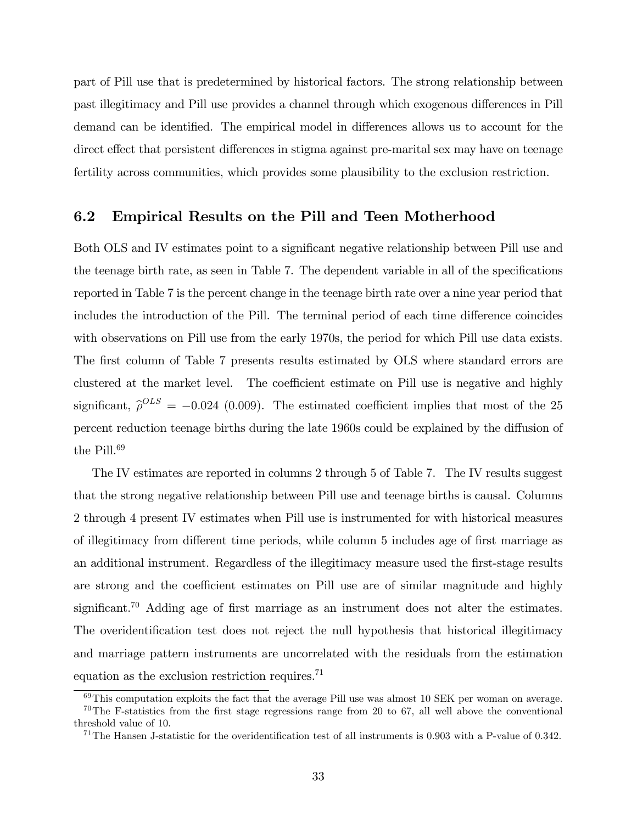part of Pill use that is predetermined by historical factors. The strong relationship between past illegitimacy and Pill use provides a channel through which exogenous differences in Pill demand can be identified. The empirical model in differences allows us to account for the direct effect that persistent differences in stigma against pre-marital sex may have on teenage fertility across communities, which provides some plausibility to the exclusion restriction.

#### 6.2 Empirical Results on the Pill and Teen Motherhood

Both OLS and IV estimates point to a significant negative relationship between Pill use and the teenage birth rate, as seen in Table 7. The dependent variable in all of the specifications reported in Table 7 is the percent change in the teenage birth rate over a nine year period that includes the introduction of the Pill. The terminal period of each time difference coincides with observations on Pill use from the early 1970s, the period for which Pill use data exists. The first column of Table 7 presents results estimated by OLS where standard errors are clustered at the market level. The coefficient estimate on Pill use is negative and highly significant,  $\hat{\rho}^{OLS} = -0.024$  (0.009). The estimated coefficient implies that most of the 25 percent reduction teenage births during the late 1960s could be explained by the diffusion of the  $Pill.<sup>69</sup>$ 

The IV estimates are reported in columns 2 through 5 of Table 7. The IV results suggest that the strong negative relationship between Pill use and teenage births is causal. Columns 2 through 4 present IV estimates when Pill use is instrumented for with historical measures of illegitimacy from different time periods, while column 5 includes age of first marriage as an additional instrument. Regardless of the illegitimacy measure used the first-stage results are strong and the coefficient estimates on Pill use are of similar magnitude and highly significant.<sup>70</sup> Adding age of first marriage as an instrument does not alter the estimates. The overidentification test does not reject the null hypothesis that historical illegitimacy and marriage pattern instruments are uncorrelated with the residuals from the estimation equation as the exclusion restriction requires.<sup>71</sup>

 $69$ This computation exploits the fact that the average Pill use was almost 10 SEK per woman on average.

<sup>&</sup>lt;sup>70</sup>The F-statistics from the first stage regressions range from 20 to 67, all well above the conventional threshold value of 10.

<sup>&</sup>lt;sup>71</sup>The Hansen J-statistic for the overidentification test of all instruments is 0.903 with a P-value of 0.342.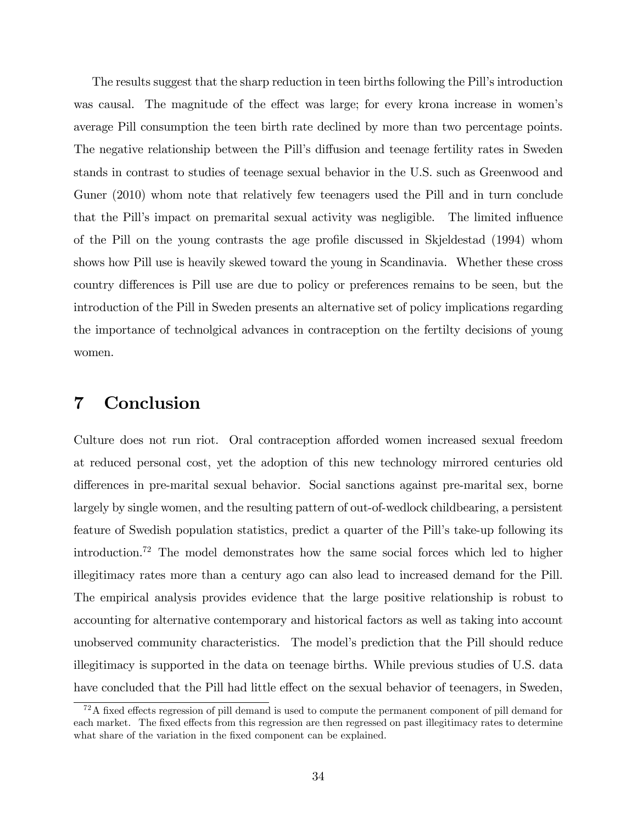The results suggest that the sharp reduction in teen births following the Pill's introduction was causal. The magnitude of the effect was large; for every krona increase in women's average Pill consumption the teen birth rate declined by more than two percentage points. The negative relationship between the Pill's diffusion and teenage fertility rates in Sweden stands in contrast to studies of teenage sexual behavior in the U.S. such as Greenwood and Guner (2010) whom note that relatively few teenagers used the Pill and in turn conclude that the Pill's impact on premarital sexual activity was negligible. The limited influence of the Pill on the young contrasts the age profile discussed in Skjeldestad (1994) whom shows how Pill use is heavily skewed toward the young in Scandinavia. Whether these cross country differences is Pill use are due to policy or preferences remains to be seen, but the introduction of the Pill in Sweden presents an alternative set of policy implications regarding the importance of technolgical advances in contraception on the fertilty decisions of young women.

# 7 Conclusion

Culture does not run riot. Oral contraception afforded women increased sexual freedom at reduced personal cost, yet the adoption of this new technology mirrored centuries old differences in pre-marital sexual behavior. Social sanctions against pre-marital sex, borne largely by single women, and the resulting pattern of out-of-wedlock childbearing, a persistent feature of Swedish population statistics, predict a quarter of the Pill's take-up following its introduction.<sup>72</sup> The model demonstrates how the same social forces which led to higher illegitimacy rates more than a century ago can also lead to increased demand for the Pill. The empirical analysis provides evidence that the large positive relationship is robust to accounting for alternative contemporary and historical factors as well as taking into account unobserved community characteristics. The modelís prediction that the Pill should reduce illegitimacy is supported in the data on teenage births. While previous studies of U.S. data have concluded that the Pill had little effect on the sexual behavior of teenagers, in Sweden,

 $72A$  fixed effects regression of pill demand is used to compute the permanent component of pill demand for each market. The fixed effects from this regression are then regressed on past illegitimacy rates to determine what share of the variation in the fixed component can be explained.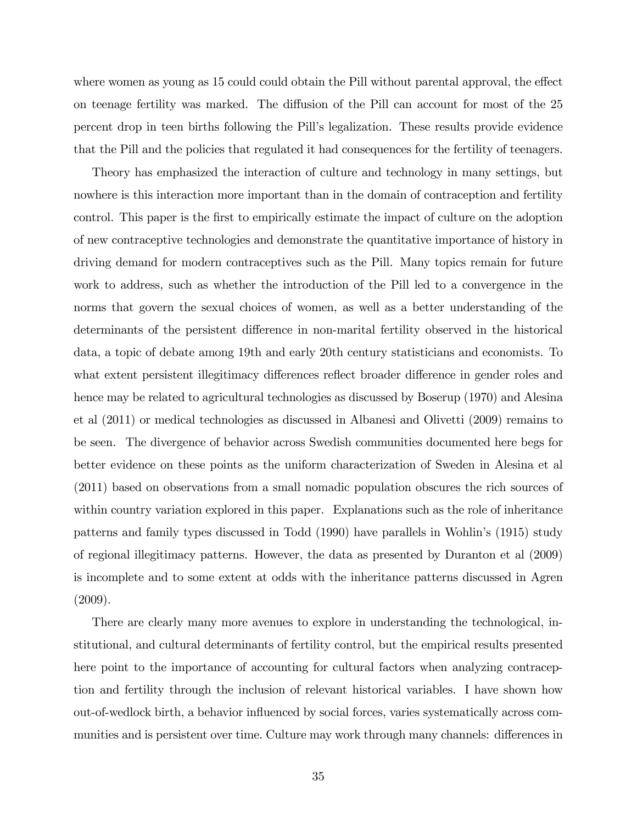where women as young as 15 could could obtain the Pill without parental approval, the effect on teenage fertility was marked. The diffusion of the Pill can account for most of the 25 percent drop in teen births following the Pillís legalization. These results provide evidence that the Pill and the policies that regulated it had consequences for the fertility of teenagers.

Theory has emphasized the interaction of culture and technology in many settings, but nowhere is this interaction more important than in the domain of contraception and fertility control. This paper is the first to empirically estimate the impact of culture on the adoption of new contraceptive technologies and demonstrate the quantitative importance of history in driving demand for modern contraceptives such as the Pill. Many topics remain for future work to address, such as whether the introduction of the Pill led to a convergence in the norms that govern the sexual choices of women, as well as a better understanding of the determinants of the persistent difference in non-marital fertility observed in the historical data, a topic of debate among 19th and early 20th century statisticians and economists. To what extent persistent illegitimacy differences reflect broader difference in gender roles and hence may be related to agricultural technologies as discussed by Boserup (1970) and Alesina et al (2011) or medical technologies as discussed in Albanesi and Olivetti (2009) remains to be seen. The divergence of behavior across Swedish communities documented here begs for better evidence on these points as the uniform characterization of Sweden in Alesina et al (2011) based on observations from a small nomadic population obscures the rich sources of within country variation explored in this paper. Explanations such as the role of inheritance patterns and family types discussed in Todd (1990) have parallels in Wohlin's (1915) study of regional illegitimacy patterns. However, the data as presented by Duranton et al (2009) is incomplete and to some extent at odds with the inheritance patterns discussed in Agren (2009).

There are clearly many more avenues to explore in understanding the technological, institutional, and cultural determinants of fertility control, but the empirical results presented here point to the importance of accounting for cultural factors when analyzing contraception and fertility through the inclusion of relevant historical variables. I have shown how out-of-wedlock birth, a behavior ináuenced by social forces, varies systematically across communities and is persistent over time. Culture may work through many channels: differences in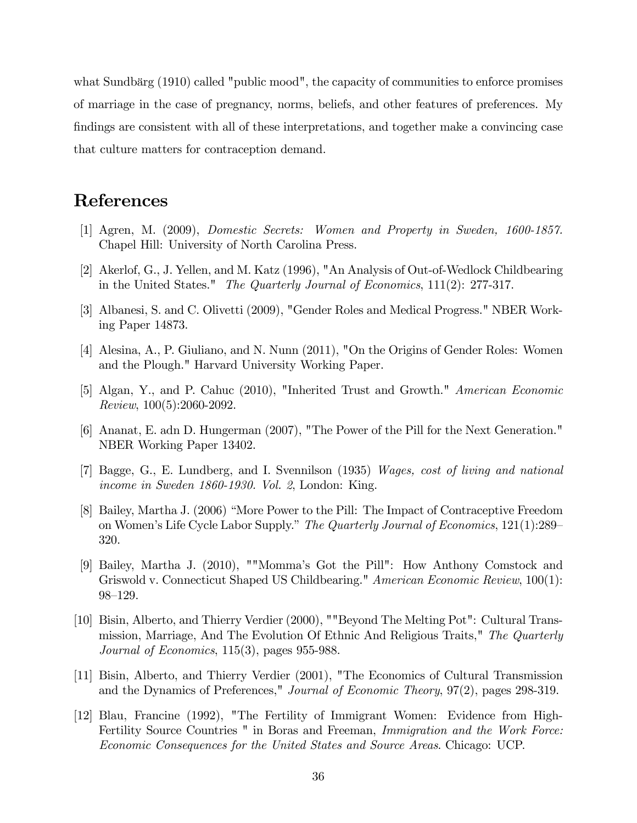what Sundbärg (1910) called "public mood", the capacity of communities to enforce promises of marriage in the case of pregnancy, norms, beliefs, and other features of preferences. My findings are consistent with all of these interpretations, and together make a convincing case that culture matters for contraception demand.

# References

- [1] Agren, M. (2009), Domestic Secrets: Women and Property in Sweden, 1600-1857. Chapel Hill: University of North Carolina Press.
- [2] Akerlof, G., J. Yellen, and M. Katz (1996), "An Analysis of Out-of-Wedlock Childbearing in the United States." The Quarterly Journal of Economics, 111(2): 277-317.
- [3] Albanesi, S. and C. Olivetti (2009), "Gender Roles and Medical Progress." NBER Working Paper 14873.
- [4] Alesina, A., P. Giuliano, and N. Nunn (2011), "On the Origins of Gender Roles: Women and the Plough." Harvard University Working Paper.
- [5] Algan, Y., and P. Cahuc (2010), "Inherited Trust and Growth." American Economic Review, 100(5):2060-2092.
- [6] Ananat, E. adn D. Hungerman (2007), "The Power of the Pill for the Next Generation." NBER Working Paper 13402.
- [7] Bagge, G., E. Lundberg, and I. Svennilson (1935) Wages, cost of living and national income in Sweden 1860-1930. Vol. 2, London: King.
- [8] Bailey, Martha J. (2006) "More Power to the Pill: The Impact of Contraceptive Freedom on Women's Life Cycle Labor Supply." The Quarterly Journal of Economics, 121(1):289-320.
- [9] Bailey, Martha J. (2010), ""Mommaís Got the Pill": How Anthony Comstock and Griswold v. Connecticut Shaped US Childbearing." American Economic Review, 100(1): 98–129.
- [10] Bisin, Alberto, and Thierry Verdier (2000), ""Beyond The Melting Pot": Cultural Transmission, Marriage, And The Evolution Of Ethnic And Religious Traits," The Quarterly Journal of Economics, 115(3), pages 955-988.
- [11] Bisin, Alberto, and Thierry Verdier (2001), "The Economics of Cultural Transmission and the Dynamics of Preferences," Journal of Economic Theory, 97(2), pages 298-319.
- [12] Blau, Francine (1992), "The Fertility of Immigrant Women: Evidence from High-Fertility Source Countries " in Boras and Freeman, *Immigration and the Work Force:* Economic Consequences for the United States and Source Areas. Chicago: UCP.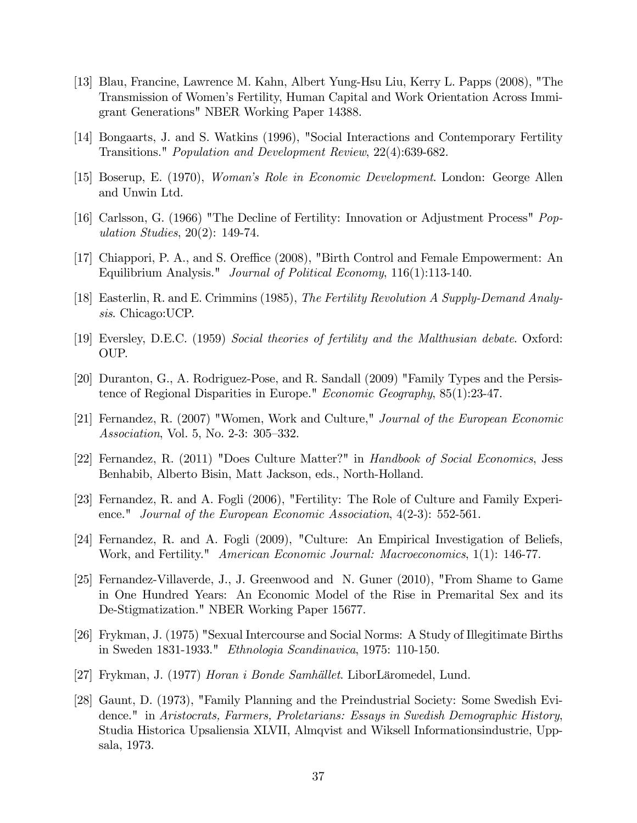- [13] Blau, Francine, Lawrence M. Kahn, Albert Yung-Hsu Liu, Kerry L. Papps (2008), "The Transmission of Womenís Fertility, Human Capital and Work Orientation Across Immigrant Generations" NBER Working Paper 14388.
- [14] Bongaarts, J. and S. Watkins (1996), "Social Interactions and Contemporary Fertility Transitions." Population and Development Review, 22(4):639-682.
- [15] Boserup, E. (1970), Womanís Role in Economic Development. London: George Allen and Unwin Ltd.
- [16] Carlsson, G. (1966) "The Decline of Fertility: Innovation or Adjustment Process" Population Studies, 20(2): 149-74.
- [17] Chiappori, P. A., and S. Oreffice (2008), "Birth Control and Female Empowerment: An Equilibrium Analysis." Journal of Political Economy, 116(1):113-140.
- [18] Easterlin, R. and E. Crimmins (1985), The Fertility Revolution A Supply-Demand Analysis. Chicago:UCP.
- [19] Eversley, D.E.C. (1959) Social theories of fertility and the Malthusian debate. Oxford: OUP.
- [20] Duranton, G., A. Rodriguez-Pose, and R. Sandall (2009) "Family Types and the Persistence of Regional Disparities in Europe." Economic Geography, 85(1):23-47.
- [21] Fernandez, R. (2007) "Women, Work and Culture," Journal of the European Economic Association, Vol. 5, No. 2-3: 305-332.
- [22] Fernandez, R. (2011) "Does Culture Matter?" in Handbook of Social Economics, Jess Benhabib, Alberto Bisin, Matt Jackson, eds., North-Holland.
- [23] Fernandez, R. and A. Fogli (2006), "Fertility: The Role of Culture and Family Experience." Journal of the European Economic Association, 4(2-3): 552-561.
- [24] Fernandez, R. and A. Fogli (2009), "Culture: An Empirical Investigation of Beliefs, Work, and Fertility." American Economic Journal: Macroeconomics, 1(1): 146-77.
- [25] Fernandez-Villaverde, J., J. Greenwood and N. Guner (2010), "From Shame to Game in One Hundred Years: An Economic Model of the Rise in Premarital Sex and its De-Stigmatization." NBER Working Paper 15677.
- [26] Frykman, J. (1975) "Sexual Intercourse and Social Norms: A Study of Illegitimate Births in Sweden 1831-1933." Ethnologia Scandinavica, 1975: 110-150.
- [27] Frykman, J. (1977) Horan i Bonde Samhället. LiborLäromedel, Lund.
- [28] Gaunt, D. (1973), "Family Planning and the Preindustrial Society: Some Swedish Evidence." in Aristocrats, Farmers, Proletarians: Essays in Swedish Demographic History, Studia Historica Upsaliensia XLVII, Almqvist and Wiksell Informationsindustrie, Uppsala, 1973.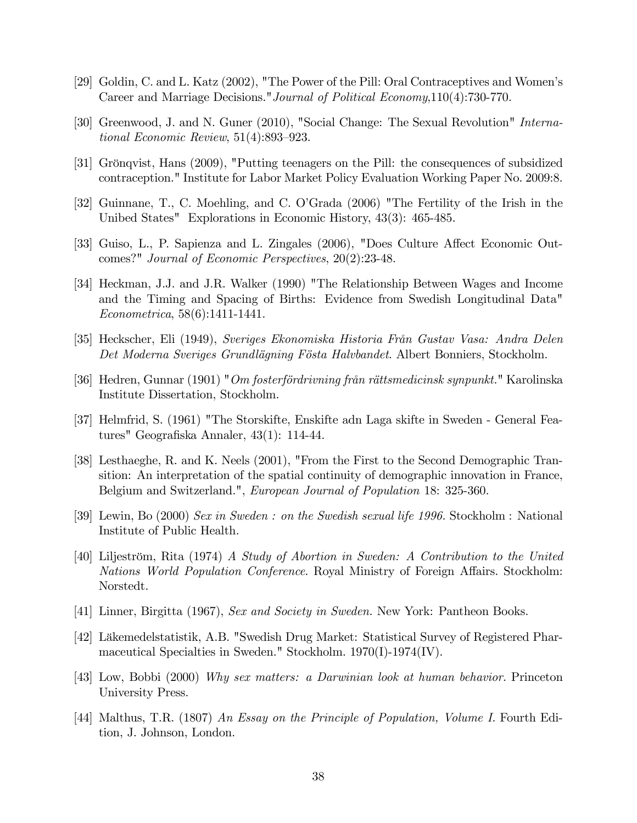- [29] Goldin, C. and L. Katz (2002), "The Power of the Pill: Oral Contraceptives and Womenís Career and Marriage Decisions."Journal of Political Economy,110(4):730-770.
- [30] Greenwood, J. and N. Guner (2010), "Social Change: The Sexual Revolution" International Economic Review,  $51(4):893-923$ .
- [31] Grönqvist, Hans (2009), "Putting teenagers on the Pill: the consequences of subsidized contraception." Institute for Labor Market Policy Evaluation Working Paper No. 2009:8.
- [32] Guinnane, T., C. Moehling, and C. OíGrada (2006) "The Fertility of the Irish in the Unibed States" Explorations in Economic History, 43(3): 465-485.
- [33] Guiso, L., P. Sapienza and L. Zingales (2006), "Does Culture Affect Economic Outcomes?" Journal of Economic Perspectives, 20(2):23-48.
- [34] Heckman, J.J. and J.R. Walker (1990) "The Relationship Between Wages and Income and the Timing and Spacing of Births: Evidence from Swedish Longitudinal Data" Econometrica, 58(6):1411-1441.
- [35] Heckscher, Eli (1949), Sveriges Ekonomiska Historia FrÂn Gustav Vasa: Andra Delen Det Moderna Sveriges Grundlägning Fösta Halvbandet. Albert Bonniers, Stockholm.
- [36] Hedren, Gunnar (1901) "Om fosterfördrivning från rättsmedicinsk synpunkt." Karolinska Institute Dissertation, Stockholm.
- [37] Helmfrid, S. (1961) "The Storskifte, Enskifte adn Laga skifte in Sweden General Features" Geografiska Annaler, 43(1): 114-44.
- [38] Lesthaeghe, R. and K. Neels (2001), "From the First to the Second Demographic Transition: An interpretation of the spatial continuity of demographic innovation in France, Belgium and Switzerland.", European Journal of Population 18: 325-360.
- [39] Lewin, Bo (2000) Sex in Sweden : on the Swedish sexual life 1996. Stockholm : National Institute of Public Health.
- [40] Liljeström, Rita (1974) A Study of Abortion in Sweden: A Contribution to the United Nations World Population Conference. Royal Ministry of Foreign Affairs. Stockholm: Norstedt.
- [41] Linner, Birgitta (1967), Sex and Society in Sweden. New York: Pantheon Books.
- [42] L‰kemedelstatistik, A.B. "Swedish Drug Market: Statistical Survey of Registered Pharmaceutical Specialties in Sweden." Stockholm. 1970(I)-1974(IV).
- [43] Low, Bobbi (2000) Why sex matters: a Darwinian look at human behavior. Princeton University Press.
- [44] Malthus, T.R. (1807) An Essay on the Principle of Population, Volume I. Fourth Edition, J. Johnson, London.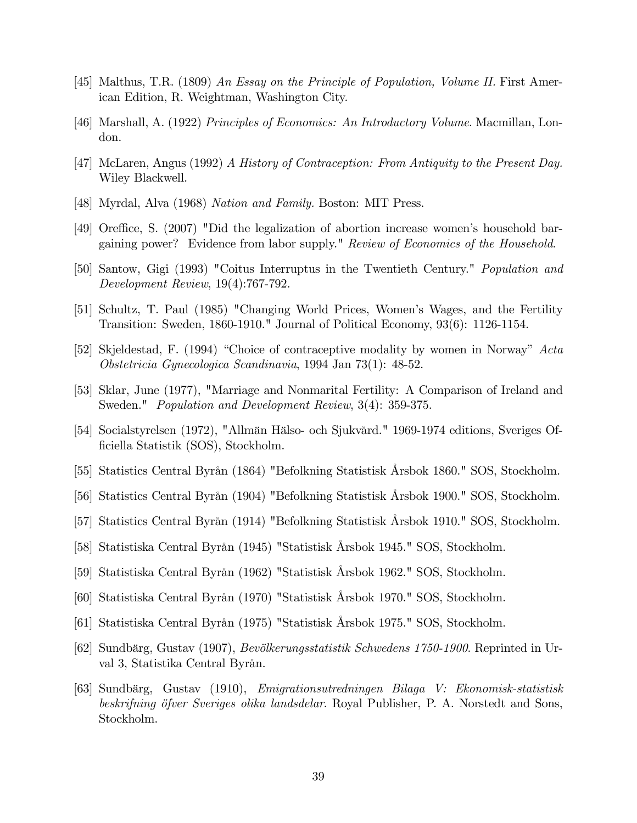- [45] Malthus, T.R. (1809) An Essay on the Principle of Population, Volume II. First American Edition, R. Weightman, Washington City.
- [46] Marshall, A. (1922) Principles of Economics: An Introductory Volume. Macmillan, London.
- [47] McLaren, Angus (1992) A History of Contraception: From Antiquity to the Present Day. Wiley Blackwell.
- [48] Myrdal, Alva (1968) Nation and Family. Boston: MIT Press.
- [49] Oreffice, S. (2007) "Did the legalization of abortion increase women's household bargaining power? Evidence from labor supply." Review of Economics of the Household.
- [50] Santow, Gigi (1993) "Coitus Interruptus in the Twentieth Century." Population and Development Review, 19(4):767-792.
- [51] Schultz, T. Paul (1985) "Changing World Prices, Womenís Wages, and the Fertility Transition: Sweden, 1860-1910." Journal of Political Economy, 93(6): 1126-1154.
- [52] Skjeldestad, F. (1994) "Choice of contraceptive modality by women in Norway"  $Acta$ Obstetricia Gynecologica Scandinavia, 1994 Jan 73(1): 48-52.
- [53] Sklar, June (1977), "Marriage and Nonmarital Fertility: A Comparison of Ireland and Sweden." *Population and Development Review*,  $3(4)$ : 359-375.
- [54] Socialstyrelsen (1972), "Allmän Hälso- och Sjukvård." 1969-1974 editions, Sveriges Officiella Statistik (SOS), Stockholm.
- [55] Statistics Central ByrÂn (1864) "Befolkning Statistisk Årsbok 1860." SOS, Stockholm.
- [56] Statistics Central ByrÂn (1904) "Befolkning Statistisk Årsbok 1900." SOS, Stockholm.
- [57] Statistics Central ByrÂn (1914) "Befolkning Statistisk Årsbok 1910." SOS, Stockholm.
- [58] Statistiska Central ByrÂn (1945) "Statistisk Årsbok 1945." SOS, Stockholm.
- [59] Statistiska Central ByrÂn (1962) "Statistisk Årsbok 1962." SOS, Stockholm.
- [60] Statistiska Central ByrÂn (1970) "Statistisk Årsbok 1970." SOS, Stockholm.
- [61] Statistiska Central ByrÂn (1975) "Statistisk Årsbok 1975." SOS, Stockholm.
- [62] Sundbärg, Gustav (1907), *Bevölkerungsstatistik Schwedens 1750-1900*. Reprinted in Urval 3, Statistika Central Byrån.
- [63] Sundb‰rg, Gustav (1910), Emigrationsutredningen Bilaga V: Ekonomisk-statistisk beskrifning öfver Sveriges olika landsdelar. Royal Publisher, P. A. Norstedt and Sons, Stockholm.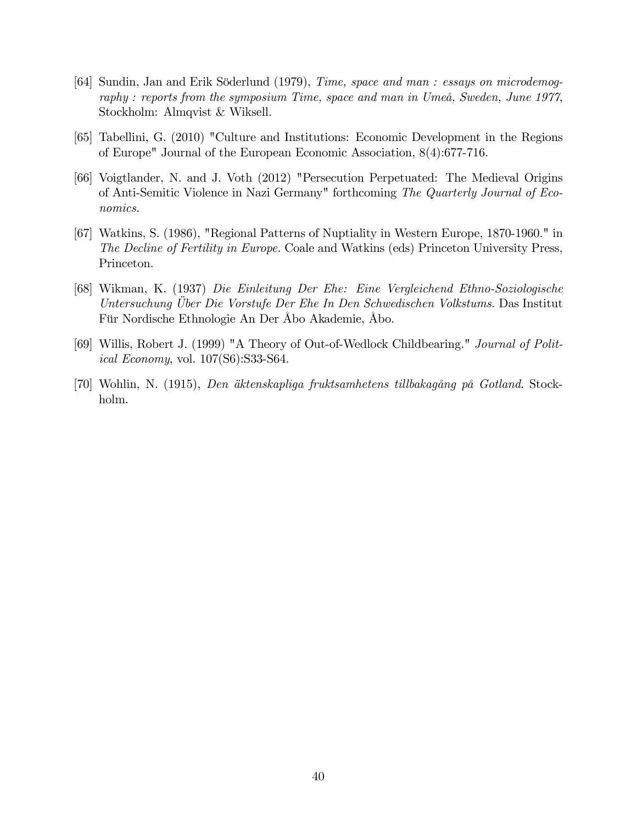- [64] Sundin, Jan and Erik Söderlund (1979), Time, space and man : essays on microdemography : reports from the symposium Time, space and man in UmeÂ, Sweden, June 1977, Stockholm: Almqvist & Wiksell.
- [65] Tabellini, G. (2010) "Culture and Institutions: Economic Development in the Regions of Europe" Journal of the European Economic Association, 8(4):677-716.
- [66] Voigtlander, N. and J. Voth (2012) "Persecution Perpetuated: The Medieval Origins of Anti-Semitic Violence in Nazi Germany" forthcoming The Quarterly Journal of Economics.
- [67] Watkins, S. (1986), "Regional Patterns of Nuptiality in Western Europe, 1870-1960." in The Decline of Fertility in Europe. Coale and Watkins (eds) Princeton University Press, Princeton.
- [68] Wikman, K. (1937) Die Einleitung Der Ehe: Eine Vergleichend Ethno-Soziologische Untersuchung Uber Die Vorstufe Der Ehe In Den Schwedischen Volkstums. Das Institut Für Nordische Ethnologie An Der Åbo Akademie, Åbo.
- [69] Willis, Robert J. (1999) "A Theory of Out-of-Wedlock Childbearing." Journal of Political Economy, vol. 107(S6):S33-S64.
- [70] Wohlin, N. (1915), Den äktenskapliga fruktsamhetens tillbakagång på Gotland. Stockholm.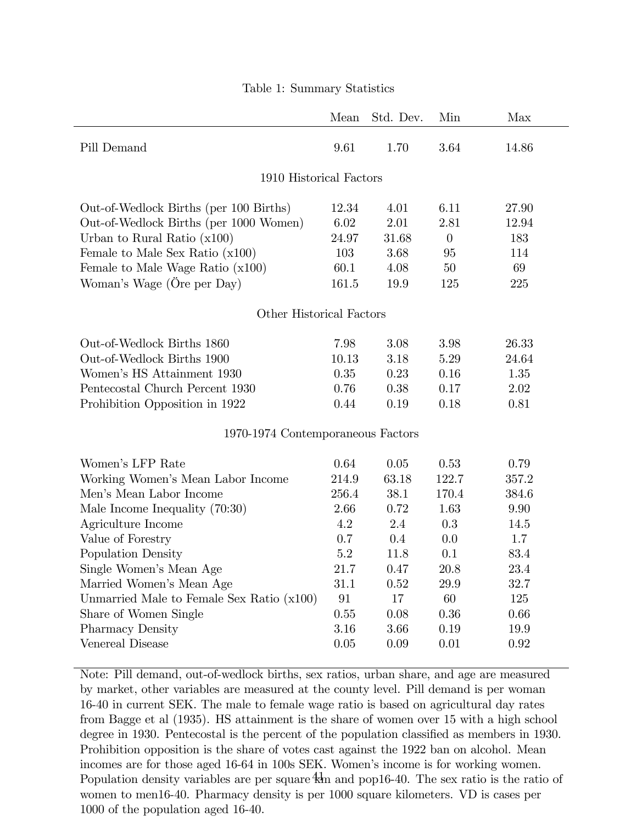|                                           | Mean  | Std. Dev. | Min      | Max   |  |  |  |  |  |
|-------------------------------------------|-------|-----------|----------|-------|--|--|--|--|--|
| Pill Demand                               | 9.61  | 1.70      | 3.64     | 14.86 |  |  |  |  |  |
| 1910 Historical Factors                   |       |           |          |       |  |  |  |  |  |
| Out-of-Wedlock Births (per 100 Births)    | 12.34 | 4.01      | 6.11     | 27.90 |  |  |  |  |  |
| Out-of-Wedlock Births (per 1000 Women)    | 6.02  | 2.01      | 2.81     | 12.94 |  |  |  |  |  |
| Urban to Rural Ratio $(x100)$             | 24.97 | 31.68     | $\theta$ | 183   |  |  |  |  |  |
| Female to Male Sex Ratio $(x100)$         | 103   | 3.68      | 95       | 114   |  |  |  |  |  |
| Female to Male Wage Ratio $(x100)$        | 60.1  | 4.08      | 50       | 69    |  |  |  |  |  |
| Woman's Wage (Ore per Day)                | 161.5 | 19.9      | 125      | 225   |  |  |  |  |  |
| Other Historical Factors                  |       |           |          |       |  |  |  |  |  |
| Out-of-Wedlock Births 1860                | 7.98  | 3.08      | 3.98     | 26.33 |  |  |  |  |  |
| Out-of-Wedlock Births 1900                | 10.13 | 3.18      | 5.29     | 24.64 |  |  |  |  |  |
| Women's HS Attainment 1930                | 0.35  | 0.23      | 0.16     | 1.35  |  |  |  |  |  |
| Pentecostal Church Percent 1930           | 0.76  | 0.38      | 0.17     | 2.02  |  |  |  |  |  |
| Prohibition Opposition in 1922            | 0.44  | 0.19      | 0.18     | 0.81  |  |  |  |  |  |
| 1970-1974 Contemporaneous Factors         |       |           |          |       |  |  |  |  |  |
| Women's LFP Rate                          | 0.64  | 0.05      | 0.53     | 0.79  |  |  |  |  |  |
| Working Women's Mean Labor Income         | 214.9 | 63.18     | 122.7    | 357.2 |  |  |  |  |  |
| Men's Mean Labor Income                   | 256.4 | 38.1      | 170.4    | 384.6 |  |  |  |  |  |
| Male Income Inequality $(70:30)$          | 2.66  | 0.72      | 1.63     | 9.90  |  |  |  |  |  |
| Agriculture Income                        | 4.2   | 2.4       | 0.3      | 14.5  |  |  |  |  |  |
| Value of Forestry                         | 0.7   | $0.4\,$   | 0.0      | 1.7   |  |  |  |  |  |
| Population Density                        | 5.2   | 11.8      | 0.1      | 83.4  |  |  |  |  |  |
| Single Women's Mean Age                   | 21.7  | 0.47      | 20.8     | 23.4  |  |  |  |  |  |
| Married Women's Mean Age                  | 31.1  | 0.52      | 29.9     | 32.7  |  |  |  |  |  |
| Unmarried Male to Female Sex Ratio (x100) | 91    | 17        | 60       | 125   |  |  |  |  |  |
| Share of Women Single                     | 0.55  | 0.08      | 0.36     | 0.66  |  |  |  |  |  |
| <b>Pharmacy Density</b>                   | 3.16  | 3.66      | 0.19     | 19.9  |  |  |  |  |  |
| Venereal Disease                          | 0.05  | 0.09      | 0.01     | 0.92  |  |  |  |  |  |
|                                           |       |           |          |       |  |  |  |  |  |

#### Table 1: Summary Statistics

Note: Pill demand, out-of-wedlock births, sex ratios, urban share, and age are measured by market, other variables are measured at the county level. Pill demand is per woman 16-40 in current SEK. The male to female wage ratio is based on agricultural day rates from Bagge et al (1935). HS attainment is the share of women over 15 with a high school degree in 1930. Pentecostal is the percent of the population classified as members in 1930. Prohibition opposition is the share of votes cast against the 1922 ban on alcohol. Mean incomes are for those aged 16-64 in 100s SEK. Women's income is for working women. Population density variables are per square  $\frac{4}{3}$  and pop16-40. The sex ratio is the ratio of women to men16-40. Pharmacy density is per 1000 square kilometers. VD is cases per 1000 of the population aged 16-40.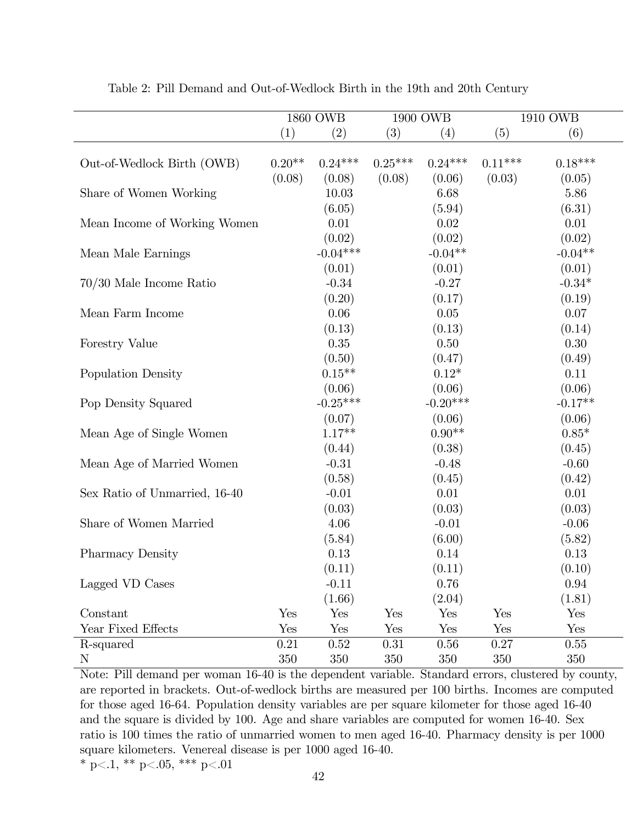|                               | 1860 OWB |            | 1900 OWB  |            |           | 1910 OWB  |
|-------------------------------|----------|------------|-----------|------------|-----------|-----------|
|                               | (1)      | (2)        | (3)       | (4)        | (5)       | (6)       |
|                               |          |            |           |            |           |           |
| Out-of-Wedlock Birth (OWB)    | $0.20**$ | $0.24***$  | $0.25***$ | $0.24***$  | $0.11***$ | $0.18***$ |
|                               | (0.08)   | (0.08)     | (0.08)    | (0.06)     | (0.03)    | (0.05)    |
| Share of Women Working        |          | 10.03      |           | 6.68       |           | 5.86      |
|                               |          | (6.05)     |           | (5.94)     |           | (6.31)    |
| Mean Income of Working Women  |          | 0.01       |           | 0.02       |           | 0.01      |
|                               |          | (0.02)     |           | (0.02)     |           | (0.02)    |
| Mean Male Earnings            |          | $-0.04***$ |           | $-0.04**$  |           | $-0.04**$ |
|                               |          | (0.01)     |           | (0.01)     |           | (0.01)    |
| 70/30 Male Income Ratio       |          | $-0.34$    |           | $-0.27$    |           | $-0.34*$  |
|                               |          | (0.20)     |           | (0.17)     |           | (0.19)    |
| Mean Farm Income              |          | 0.06       |           | $0.05\,$   |           | 0.07      |
|                               |          | (0.13)     |           | (0.13)     |           | (0.14)    |
| Forestry Value                |          | 0.35       |           | 0.50       |           | $0.30\,$  |
|                               |          | (0.50)     |           | (0.47)     |           | (0.49)    |
| Population Density            |          | $0.15**$   |           | $0.12*$    |           | 0.11      |
|                               |          | (0.06)     |           | (0.06)     |           | (0.06)    |
| Pop Density Squared           |          | $-0.25***$ |           | $-0.20***$ |           | $-0.17**$ |
|                               |          | (0.07)     |           | (0.06)     |           | (0.06)    |
| Mean Age of Single Women      |          | $1.17**$   |           | $0.90**$   |           | $0.85*$   |
|                               |          | (0.44)     |           | (0.38)     |           | (0.45)    |
| Mean Age of Married Women     |          | $-0.31$    |           | $-0.48$    |           | $-0.60$   |
|                               |          | (0.58)     |           | (0.45)     |           | (0.42)    |
| Sex Ratio of Unmarried, 16-40 |          | $-0.01$    |           | 0.01       |           | 0.01      |
|                               |          | (0.03)     |           | (0.03)     |           | (0.03)    |
| Share of Women Married        |          | 4.06       |           | $-0.01$    |           | $-0.06$   |
|                               |          | (5.84)     |           | (6.00)     |           | (5.82)    |
| <b>Pharmacy Density</b>       |          | 0.13       |           | 0.14       |           | 0.13      |
|                               |          | (0.11)     |           | (0.11)     |           | (0.10)    |
| Lagged VD Cases               |          | $-0.11$    |           | 0.76       |           | 0.94      |
|                               |          | (1.66)     |           | (2.04)     |           | (1.81)    |
| Constant                      | Yes      | Yes        | Yes       | Yes        | Yes       | Yes       |
| Year Fixed Effects            | Yes      | Yes        | Yes       | Yes        | Yes       | Yes       |
| R-squared                     | 0.21     | 0.52       | 0.31      | 0.56       | 0.27      | 0.55      |
| N                             | 350      | 350        | 350       | 350        | 350       | 350       |

Table 2: Pill Demand and Out-of-Wedlock Birth in the 19th and 20th Century

Note: Pill demand per woman 16-40 is the dependent variable. Standard errors, clustered by county, are reported in brackets. Out-of-wedlock births are measured per 100 births. Incomes are computed for those aged 16-64. Population density variables are per square kilometer for those aged 16-40 and the square is divided by 100. Age and share variables are computed for women 16-40. Sex ratio is 100 times the ratio of unmarried women to men aged 16-40. Pharmacy density is per 1000 square kilometers. Venereal disease is per 1000 aged 16-40. \* p<.1, \*\* p<.05, \*\*\* p<.01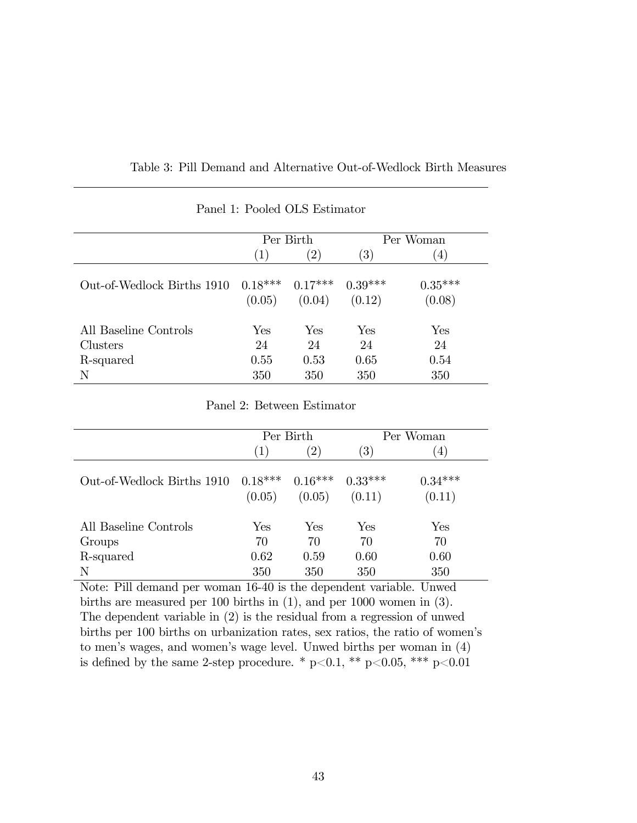|                            |                     | Per Birth           |                     | Per Woman           |
|----------------------------|---------------------|---------------------|---------------------|---------------------|
|                            | $\left(1\right)$    | $^{(2)}$            | $\left( 3\right)$   | $\left(4\right)$    |
| Out-of-Wedlock Births 1910 | $0.18***$<br>(0.05) | $0.17***$<br>(0.04) | $0.39***$<br>(0.12) | $0.35***$<br>(0.08) |
| All Baseline Controls      | Yes                 | ${\rm Yes}$         | Yes                 | Yes                 |
| Clusters                   | 24                  | 24                  | 24                  | 24                  |
| R-squared                  | 0.55                | 0.53                | 0.65                | 0.54                |
| N                          | 350                 | 350                 | 350                 | 350                 |

Panel 1: Pooled OLS Estimator

Panel 2: Between Estimator

|                                              |        | Per Birth            |                     | Per Woman           |
|----------------------------------------------|--------|----------------------|---------------------|---------------------|
|                                              | (1)    | $^{(2)}$             | $\left( 3\right)$   | (4)                 |
| Out-of-Wedlock Births 1910 $0.18***$ 0.16*** | (0.05) | (0.05)               | $0.33***$<br>(0.11) | $0.34***$<br>(0.11) |
| All Baseline Controls                        | Yes    | $\operatorname{Yes}$ | Yes                 | Yes                 |
| Groups                                       | 70     | 70                   | 70                  | 70                  |
| R-squared                                    | 0.62   | 0.59                 | 0.60                | 0.60                |
| N                                            | 350    | 350                  | 350                 | 350                 |

Note: Pill demand per woman 16-40 is the dependent variable. Unwed births are measured per 100 births in (1), and per 1000 women in (3). The dependent variable in (2) is the residual from a regression of unwed births per 100 births on urbanization rates, sex ratios, the ratio of women's to menís wages, and womenís wage level. Unwed births per woman in (4) is defined by the same 2-step procedure. \* p<0.1, \*\* p<0.05, \*\*\* p<0.01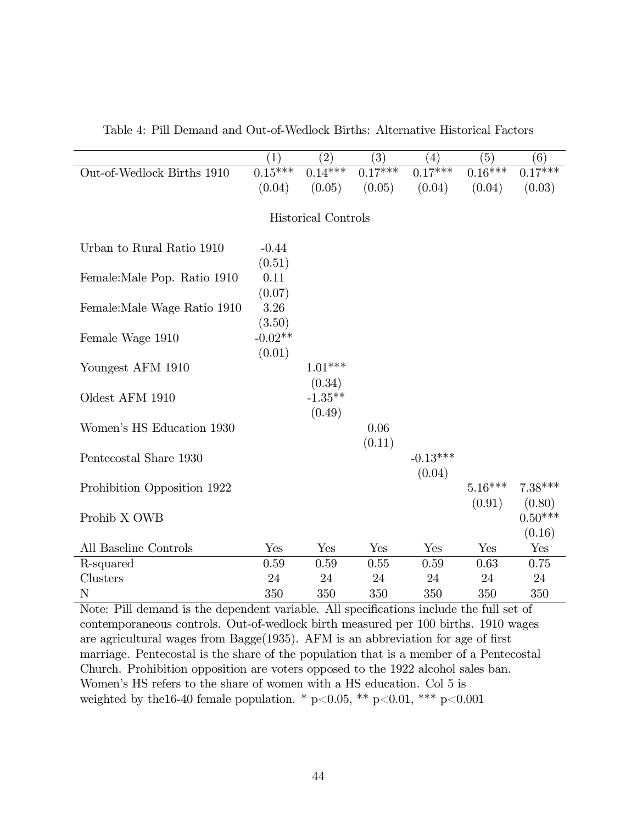|                              | (1)       | $\left( 2\right)$          | $\overline{(3)}$ | $\left( 4\right)$ | (5)       | $\overline{(6)}$ |
|------------------------------|-----------|----------------------------|------------------|-------------------|-----------|------------------|
| Out-of-Wedlock Births 1910   | $0.15***$ | $0.14***$                  | $0.17***$        | $0.17***$         | $0.16***$ | $0.17***$        |
|                              | (0.04)    | (0.05)                     | (0.05)           | (0.04)            | (0.04)    | (0.03)           |
|                              |           |                            |                  |                   |           |                  |
|                              |           | <b>Historical Controls</b> |                  |                   |           |                  |
|                              |           |                            |                  |                   |           |                  |
| Urban to Rural Ratio 1910    | $-0.44$   |                            |                  |                   |           |                  |
|                              | (0.51)    |                            |                  |                   |           |                  |
| Female: Male Pop. Ratio 1910 | 0.11      |                            |                  |                   |           |                  |
|                              | (0.07)    |                            |                  |                   |           |                  |
| Female: Male Wage Ratio 1910 | 3.26      |                            |                  |                   |           |                  |
|                              | (3.50)    |                            |                  |                   |           |                  |
| Female Wage 1910             | $-0.02**$ |                            |                  |                   |           |                  |
|                              | (0.01)    |                            |                  |                   |           |                  |
| Youngest AFM 1910            |           | $1.01***$                  |                  |                   |           |                  |
|                              |           | (0.34)                     |                  |                   |           |                  |
| Oldest AFM 1910              |           | $-1.35***$                 |                  |                   |           |                  |
|                              |           | (0.49)                     |                  |                   |           |                  |
| Women's HS Education 1930    |           |                            | 0.06             |                   |           |                  |
|                              |           |                            | (0.11)           |                   |           |                  |
| Pentecostal Share 1930       |           |                            |                  | $-0.13***$        |           |                  |
|                              |           |                            |                  | (0.04)            |           |                  |
| Prohibition Opposition 1922  |           |                            |                  |                   | $5.16***$ | $7.38***$        |
|                              |           |                            |                  |                   | (0.91)    | (0.80)           |
| Prohib X OWB                 |           |                            |                  |                   |           | $0.50***$        |
|                              |           |                            |                  |                   |           | (0.16)           |
| All Baseline Controls        | Yes       | Yes                        | Yes              | Yes               | Yes       | Yes              |
| R-squared                    | 0.59      | 0.59                       | 0.55             | 0.59              | 0.63      | 0.75             |
| Clusters                     | 24        | 24                         | 24               | 24                | 24        | 24               |
| $\mathbf N$                  | 350       | 350                        | 350              | 350               | 350       | 350              |

Table 4: Pill Demand and Out-of-Wedlock Births: Alternative Historical Factors

Note: Pill demand is the dependent variable. All specifications include the full set of contemporaneous controls. Out-of-wedlock birth measured per 100 births. 1910 wages are agricultural wages from  $Bage(1935)$ . AFM is an abbreviation for age of first marriage. Pentecostal is the share of the population that is a member of a Pentecostal Church. Prohibition opposition are voters opposed to the 1922 alcohol sales ban. Women's HS refers to the share of women with a HS education. Col 5 is weighted by the 16-40 female population. \* p<0.05, \*\* p<0.01, \*\*\* p<0.001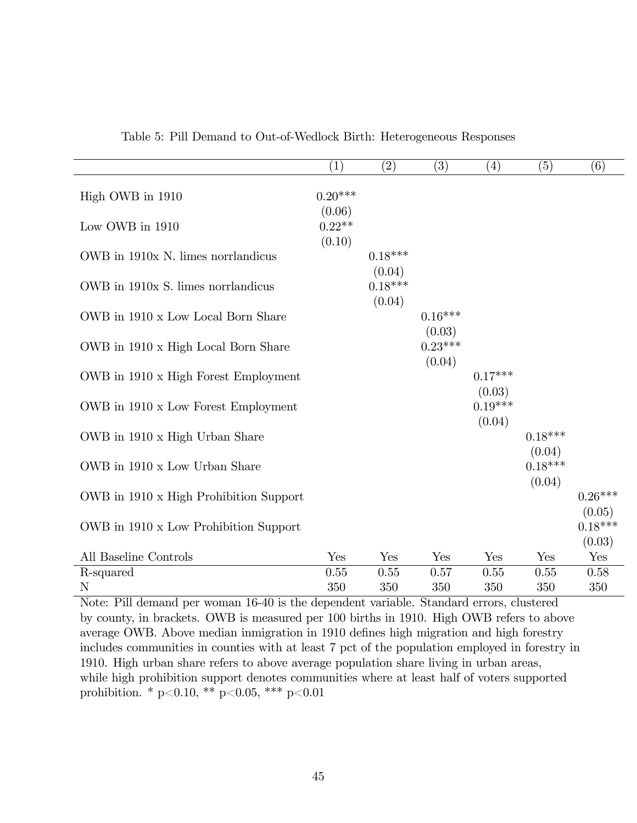|                                        | (1)                          | (2)                 | (3)                 | $\left( 4\right)$   | (5)                 | (6)                 |
|----------------------------------------|------------------------------|---------------------|---------------------|---------------------|---------------------|---------------------|
| High OWB in 1910                       | $0.20***$                    |                     |                     |                     |                     |                     |
| Low OWB in 1910                        | (0.06)<br>$0.22**$<br>(0.10) |                     |                     |                     |                     |                     |
| OWB in 1910x N. limes norrlandicus     |                              | $0.18***$<br>(0.04) |                     |                     |                     |                     |
| OWB in 1910x S. limes norrlandicus     |                              | $0.18***$<br>(0.04) |                     |                     |                     |                     |
| OWB in 1910 x Low Local Born Share     |                              |                     | $0.16***$<br>(0.03) |                     |                     |                     |
| OWB in 1910 x High Local Born Share    |                              |                     | $0.23***$<br>(0.04) |                     |                     |                     |
| OWB in 1910 x High Forest Employment   |                              |                     |                     | $0.17***$<br>(0.03) |                     |                     |
| OWB in 1910 x Low Forest Employment    |                              |                     |                     | $0.19***$<br>(0.04) |                     |                     |
| OWB in 1910 x High Urban Share         |                              |                     |                     |                     | $0.18***$<br>(0.04) |                     |
| OWB in 1910 x Low Urban Share          |                              |                     |                     |                     | $0.18***$<br>(0.04) |                     |
| OWB in 1910 x High Prohibition Support |                              |                     |                     |                     |                     | $0.26***$<br>(0.05) |
| OWB in 1910 x Low Prohibition Support  |                              |                     |                     |                     |                     | $0.18***$<br>(0.03) |
| All Baseline Controls                  | Yes                          | Yes                 | Yes                 | Yes                 | Yes                 | Yes                 |
| R-squared                              | 0.55                         | 0.55                | 0.57                | 0.55                | 0.55                | 0.58                |
| N                                      | 350                          | 350                 | 350                 | 350                 | 350                 | 350                 |

Table 5: Pill Demand to Out-of-Wedlock Birth: Heterogeneous Responses

Note: Pill demand per woman 16-40 is the dependent variable. Standard errors, clustered by county, in brackets. OWB is measured per 100 births in 1910. High OWB refers to above average OWB. Above median inmigration in 1910 defines high migration and high forestry includes communities in counties with at least 7 pct of the population employed in forestry in 1910. High urban share refers to above average population share living in urban areas, while high prohibition support denotes communities where at least half of voters supported prohibition. \* p<0.10, \*\* p<0.05, \*\*\* p<0.01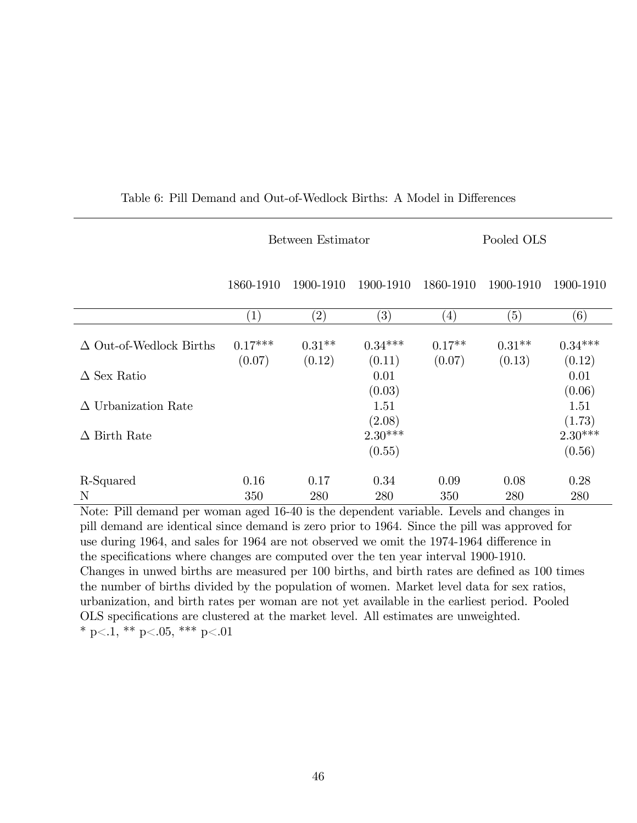|                                                   |                     | Between Estimator                     |                         | Pooled OLS                          |                    |                     |  |
|---------------------------------------------------|---------------------|---------------------------------------|-------------------------|-------------------------------------|--------------------|---------------------|--|
|                                                   | 1860-1910           | 1900-1910                             | 1900-1910               | 1860-1910                           | 1900-1910          | 1900-1910           |  |
|                                                   | (1)                 | $\left( 2\right)$                     | $\left( 3\right)$       | $\left( 4\right)$                   | (5)                | (6)                 |  |
| $\Delta$ Out-of-Wedlock Births                    | $0.17***$<br>(0.07) | $0.31**$<br>(0.12)                    | $0.34***$<br>(0.11)     | $0.17**$<br>(0.07)                  | $0.31**$<br>(0.13) | $0.34***$<br>(0.12) |  |
| $\Delta$ Sex Ratio                                |                     |                                       | 0.01<br>(0.03)          |                                     |                    | 0.01<br>(0.06)      |  |
| $\Delta$ Urbanization Rate                        |                     |                                       | 1.51<br>(2.08)          |                                     |                    | 1.51<br>(1.73)      |  |
| $\Delta$ Birth Rate                               |                     |                                       | $2.30***$<br>(0.55)     |                                     |                    | $2.30***$<br>(0.56) |  |
| R-Squared                                         | 0.16                | 0.17                                  | 0.34                    | 0.09                                | 0.08               | 0.28                |  |
| $\mathbf N$<br><b>NT</b><br>T1111<br>$\mathbf{1}$ | 350                 | 280<br>1.10, 10, 11<br>$\blacksquare$ | 280<br>$1 \quad \cdots$ | 350<br>$\cdot$ 11<br>$\mathbf{T}$ 1 | 280<br>$1 \quad 1$ | 280<br>$\bullet$    |  |

## Table 6: Pill Demand and Out-of-Wedlock Births: A Model in Differences

Note: Pill demand per woman aged 16-40 is the dependent variable. Levels and changes in pill demand are identical since demand is zero prior to 1964. Since the pill was approved for use during 1964, and sales for 1964 are not observed we omit the 1974-1964 difference in the specifications where changes are computed over the ten year interval 1900-1910. Changes in unwed births are measured per 100 births, and birth rates are defined as 100 times the number of births divided by the population of women. Market level data for sex ratios, urbanization, and birth rates per woman are not yet available in the earliest period. Pooled OLS specifications are clustered at the market level. All estimates are unweighted. \* p<.1, \*\* p<.05, \*\*\* p<.01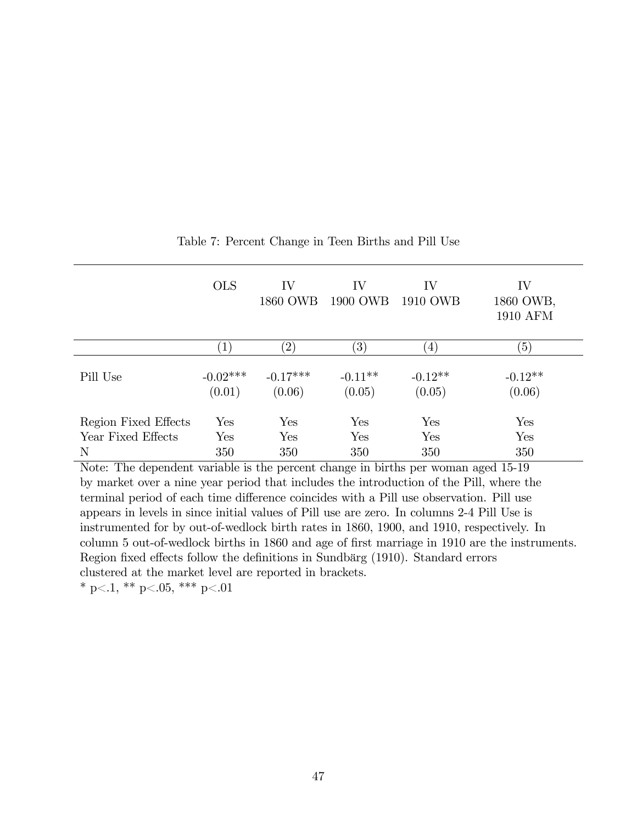|                      | <b>OLS</b>           | IV<br>1860 OWB       | IV<br>1900 OWB      | IV<br>1910 OWB      | IV<br>1860 OWB,<br><b>1910 AFM</b> |
|----------------------|----------------------|----------------------|---------------------|---------------------|------------------------------------|
|                      | $\ket{1}$            | $^{\prime}2,$        | $\left(3\right)$    | $\left(4\right)$    | (5)                                |
| Pill Use             | $-0.02***$<br>(0.01) | $-0.17***$<br>(0.06) | $-0.11**$<br>(0.05) | $-0.12**$<br>(0.05) | $-0.12**$<br>(0.06)                |
| Region Fixed Effects | Yes                  | Yes                  | Yes                 | Yes                 | Yes                                |
| Year Fixed Effects   | Yes                  | Yes                  | Yes                 | Yes                 | Yes                                |
| N                    | 350                  | 350                  | 350                 | 350                 | 350                                |

Table 7: Percent Change in Teen Births and Pill Use

Note: The dependent variable is the percent change in births per woman aged 15-19 by market over a nine year period that includes the introduction of the Pill, where the terminal period of each time difference coincides with a Pill use observation. Pill use appears in levels in since initial values of Pill use are zero. In columns 2-4 Pill Use is instrumented for by out-of-wedlock birth rates in 1860, 1900, and 1910, respectively. In column 5 out-of-wedlock births in 1860 and age of first marriage in 1910 are the instruments. Region fixed effects follow the definitions in Sundbärg (1910). Standard errors clustered at the market level are reported in brackets.

\* p<.1, \*\* p<.05, \*\*\* p<.01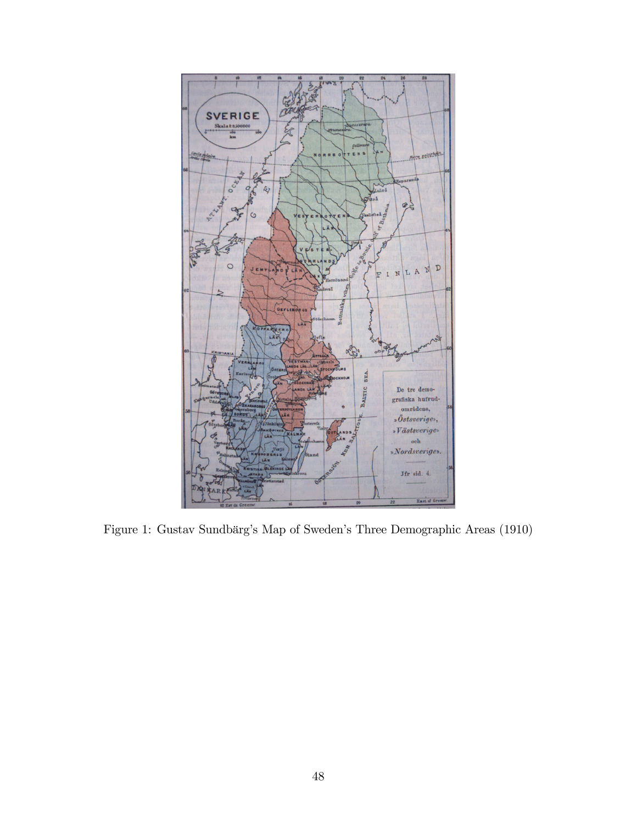

Figure 1: Gustav Sundbärg's Map of Sweden's Three Demographic Areas (1910)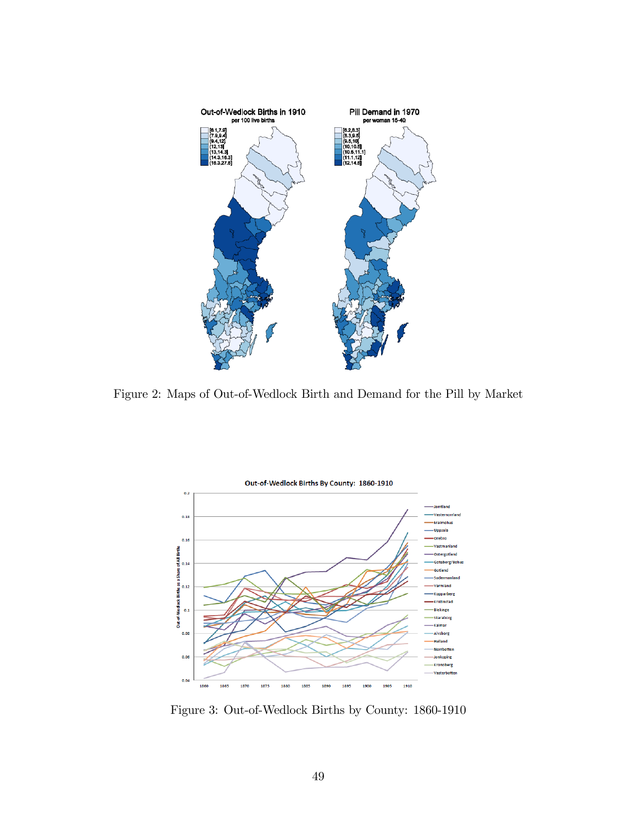

Figure 2: Maps of Out-of-Wedlock Birth and Demand for the Pill by Market



Figure 3: Out-of-Wedlock Births by County: 1860-1910